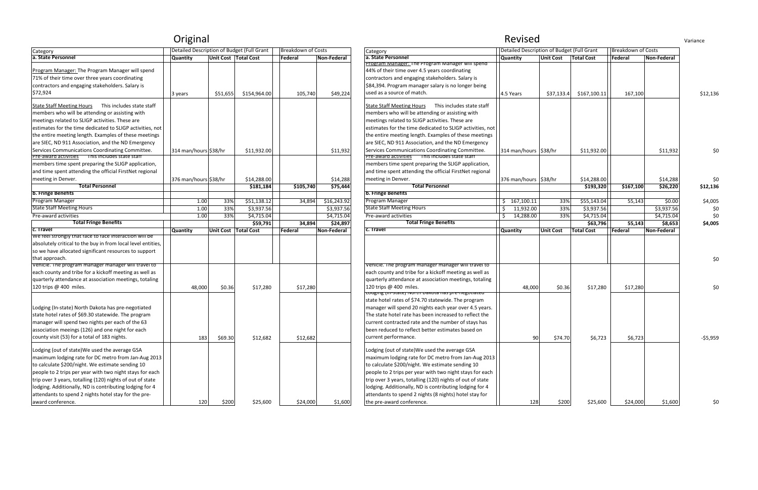| Category                                                                  | Detailed Description of Budget (Full Grant |          |                        | <b>Breakdown of Costs</b> |             | Category                                                                            | Detailed Description of Budget (Full Grant |                  |                   | <b>Breakdown of Costs</b> |            |
|---------------------------------------------------------------------------|--------------------------------------------|----------|------------------------|---------------------------|-------------|-------------------------------------------------------------------------------------|--------------------------------------------|------------------|-------------------|---------------------------|------------|
| a. State Personnel                                                        | <b>Quantity</b>                            |          | Unit Cost Total Cost   | Federal                   | Non-Federal | a. State Personnel                                                                  | <b>Quantity</b>                            | <b>Unit Cost</b> | <b>Total Cost</b> | Federal                   | Non-Federa |
|                                                                           |                                            |          |                        |                           |             | Program Manager: The Program Manager will spend                                     |                                            |                  |                   |                           |            |
| Program Manager: The Program Manager will spend                           |                                            |          |                        |                           |             | 44% of their time over 4.5 years coordinating                                       |                                            |                  |                   |                           |            |
| 71% of their time over three years coordinating                           |                                            |          |                        |                           |             | contractors and engaging stakeholders. Salary is                                    |                                            |                  |                   |                           |            |
| contractors and engaging stakeholders. Salary is                          |                                            |          |                        |                           |             | \$84,394. Program manager salary is no longer being                                 |                                            |                  |                   |                           |            |
| \$72,924                                                                  | 3 years                                    | \$51,655 | \$154,964.00           | 105,740                   | \$49,224    | used as a source of match.                                                          | 4.5 Years                                  | \$37,133.4       | \$167,100.11      | 167,100                   |            |
|                                                                           |                                            |          |                        |                           |             |                                                                                     |                                            |                  |                   |                           |            |
| <b>State Staff Meeting Hours</b><br>This includes state staff             |                                            |          |                        |                           |             | <b>State Staff Meeting Hours</b><br>This includes state staff                       |                                            |                  |                   |                           |            |
| members who will be attending or assisting with                           |                                            |          |                        |                           |             | members who will be attending or assisting with                                     |                                            |                  |                   |                           |            |
| meetings related to SLIGP activities. These are                           |                                            |          |                        |                           |             | meetings related to SLIGP activities. These are                                     |                                            |                  |                   |                           |            |
| estimates for the time dedicated to SLIGP activities, not                 |                                            |          |                        |                           |             | estimates for the time dedicated to SLIGP activities, not                           |                                            |                  |                   |                           |            |
| the entire meeting length. Examples of these meetings                     |                                            |          |                        |                           |             | the entire meeting length. Examples of these meetings                               |                                            |                  |                   |                           |            |
| are SIEC, ND 911 Association, and the ND Emergency                        |                                            |          |                        |                           |             | are SIEC, ND 911 Association, and the ND Emergency                                  |                                            |                  |                   |                           |            |
| Services Communications Coordinating Committee.                           | 314 man/hours \$38/hr                      |          | \$11,932.00            |                           | \$11,932    | Services Communications Coordinating Committee.                                     | 314 man/hours \$38/hr                      |                  | \$11,932.00       |                           | \$11,93    |
| Pre-award activities in is includes state staff                           |                                            |          |                        |                           |             | Pre-award activities This includes state staff                                      |                                            |                  |                   |                           |            |
| members time spent preparing the SLIGP application,                       |                                            |          |                        |                           |             | members time spent preparing the SLIGP application,                                 |                                            |                  |                   |                           |            |
| and time spent attending the official FirstNet regional                   |                                            |          |                        |                           |             | and time spent attending the official FirstNet regional                             |                                            |                  |                   |                           |            |
| meeting in Denver.                                                        | 376 man/hours \$38/hr                      |          | \$14,288.00            |                           | \$14,288    | meeting in Denver.                                                                  | 376 man/hours \$38/hr                      |                  | \$14,288.00       |                           | \$14,28    |
| <b>Total Personnel</b>                                                    |                                            |          | \$181,184              | \$105,740                 | \$75,444    | <b>Total Personnel</b>                                                              |                                            |                  | \$193,320         | \$167,100                 | \$26,22    |
| <b>b. Fringe Benefits</b>                                                 |                                            |          |                        |                           |             | b. Fringe Benefits                                                                  |                                            |                  |                   |                           |            |
| Program Manager                                                           | 1.00                                       | 33%      | \$51,138.12            | 34,894                    | \$16,243.92 | Program Manager                                                                     | 167,100.11                                 | 33%              | \$55,143.04       | 55,143                    | \$0.0      |
| <b>State Staff Meeting Hours</b>                                          | 1.00                                       | 33%      | \$3,937.56             |                           | \$3,937.56  | <b>State Staff Meeting Hours</b>                                                    | 11,932.00                                  | 33%              | \$3,937.56        |                           | \$3,937.5  |
| Pre-award activities                                                      | 1.00                                       | 33%      | \$4,715.04             |                           | \$4,715.04  | Pre-award activities                                                                | 14,288.00                                  | 33%              | \$4,715.04        |                           | \$4,715.0  |
| <b>Total Fringe Benefits</b>                                              |                                            |          | \$59,791               | 34,894                    | \$24,897    | <b>Total Fringe Benefits</b>                                                        |                                            |                  | \$63,796          | 55,143                    | \$8,65     |
| c. Travel                                                                 | <b>Quantity</b>                            |          | Unit Cost   Total Cost | Federal                   | Non-Federal | c. Travel                                                                           | <b>Quantity</b>                            | <b>Unit Cost</b> | <b>Total Cost</b> | Federal                   | Non-Federa |
| We feel strongly that face to face interaction will be                    |                                            |          |                        |                           |             |                                                                                     |                                            |                  |                   |                           |            |
| absolutely critical to the buy in from local level entities,              |                                            |          |                        |                           |             |                                                                                     |                                            |                  |                   |                           |            |
| so we have allocated significant resources to support                     |                                            |          |                        |                           |             |                                                                                     |                                            |                  |                   |                           |            |
| that approach.                                                            |                                            |          |                        |                           |             |                                                                                     |                                            |                  |                   |                           |            |
| Venicie. The program manager manager will travel to                       |                                            |          |                        |                           |             | Vehicle. The program manager manager will travel to                                 |                                            |                  |                   |                           |            |
| each county and tribe for a kickoff meeting as well as                    |                                            |          |                        |                           |             | each county and tribe for a kickoff meeting as well as                              |                                            |                  |                   |                           |            |
| quarterly attendance at association meetings, totaling                    |                                            |          |                        |                           |             | quarterly attendance at association meetings, totaling                              |                                            |                  |                   |                           |            |
| 120 trips @ 400 miles.                                                    | 48,000                                     | \$0.36   | \$17,280               | \$17,280                  |             | 120 trips @ 400 miles.                                                              | 48,000                                     | \$0.36           | \$17,280          | \$17,280                  |            |
|                                                                           |                                            |          |                        |                           |             | Loughig (in-state) North Dakota has pre-hegotiated                                  |                                            |                  |                   |                           |            |
|                                                                           |                                            |          |                        |                           |             | state hotel rates of \$74.70 statewide. The program                                 |                                            |                  |                   |                           |            |
| Lodging (In-state) North Dakota has pre-negotiated                        |                                            |          |                        |                           |             | manager will spend 20 nights each year over 4.5 years.                              |                                            |                  |                   |                           |            |
| state hotel rates of \$69.30 statewide. The program                       |                                            |          |                        |                           |             | The state hotel rate has been increased to reflect the                              |                                            |                  |                   |                           |            |
| manager will spend two nights per each of the 63                          |                                            |          |                        |                           |             | current contracted rate and the number of stays has                                 |                                            |                  |                   |                           |            |
| association meeings (126) and one night for each                          |                                            |          |                        |                           |             | been reduced to reflect better estimates based on                                   |                                            |                  |                   |                           |            |
| county visit (53) for a total of 183 nights.                              | 183                                        | \$69.30  | \$12,682               | \$12,682                  |             | current performance.                                                                | $90\,$                                     | \$74.70          | \$6,723           | \$6,723                   |            |
| Lodging (out of state) We used the average GSA                            |                                            |          |                        |                           |             | Lodging (out of state) We used the average GSA                                      |                                            |                  |                   |                           |            |
|                                                                           |                                            |          |                        |                           |             |                                                                                     |                                            |                  |                   |                           |            |
| maximum lodging rate for DC metro from Jan-Aug 2013                       |                                            |          |                        |                           |             | maximum lodging rate for DC metro from Jan-Aug 2013                                 |                                            |                  |                   |                           |            |
| to calculate \$200/night. We estimate sending 10                          |                                            |          |                        |                           |             | to calculate \$200/night. We estimate sending 10                                    |                                            |                  |                   |                           |            |
| people to 2 trips per year with two night stays for each                  |                                            |          |                        |                           |             | people to 2 trips per year with two night stays for each                            |                                            |                  |                   |                           |            |
| trip over 3 years, totalling (120) nights of out of state                 |                                            |          |                        |                           |             | trip over 3 years, totalling (120) nights of out of state                           |                                            |                  |                   |                           |            |
| lodging. Additionally, ND is contributing lodging for 4                   |                                            |          |                        |                           |             |                                                                                     |                                            |                  |                   |                           |            |
|                                                                           |                                            |          |                        |                           |             | lodging. Additionally, ND is contributing lodging for 4                             |                                            |                  |                   |                           |            |
| attendants to spend 2 nights hotel stay for the pre-<br>award conference. | 120                                        | \$200    | \$25,600               | \$24,000                  | \$1,600     | attendants to spend 2 nights (8 nights) hotel stay for<br>the pre-award conference. | 128                                        | \$200            | \$25,600          | \$24,000                  | \$1,60     |

|                                                                                                                                                                                                                                                                                                                                                                                                                           | Original                                   |                      |              |                           |             |                                                                                                                                                                                                                                                                                                                                                                                                                                      | Revised                                    |                  |                   |                    |             |
|---------------------------------------------------------------------------------------------------------------------------------------------------------------------------------------------------------------------------------------------------------------------------------------------------------------------------------------------------------------------------------------------------------------------------|--------------------------------------------|----------------------|--------------|---------------------------|-------------|--------------------------------------------------------------------------------------------------------------------------------------------------------------------------------------------------------------------------------------------------------------------------------------------------------------------------------------------------------------------------------------------------------------------------------------|--------------------------------------------|------------------|-------------------|--------------------|-------------|
| Category                                                                                                                                                                                                                                                                                                                                                                                                                  | Detailed Description of Budget (Full Grant |                      |              | <b>Breakdown of Costs</b> |             | Category                                                                                                                                                                                                                                                                                                                                                                                                                             | Detailed Description of Budget (Full Grant |                  |                   | Breakdown of Costs |             |
| a. State Personnel                                                                                                                                                                                                                                                                                                                                                                                                        | Quantity                                   | Unit Cost Total Cost |              | Federal                   | Non-Federal | a. State Personnel                                                                                                                                                                                                                                                                                                                                                                                                                   | <b>Quantity</b>                            | <b>Unit Cost</b> | <b>Total Cost</b> | Federal            | Non-Federal |
| Program Manager: The Program Manager will spend<br>71% of their time over three years coordinating<br>contractors and engaging stakeholders. Salary is<br>\$72,924                                                                                                                                                                                                                                                        | 3 years                                    | \$51,655             | \$154,964.00 | 105,740                   | \$49,224    | Program Manager: The Program Manager will spend<br>44% of their time over 4.5 years coordinating<br>contractors and engaging stakeholders. Salary is<br>\$84,394. Program manager salary is no longer being<br>used as a source of match.                                                                                                                                                                                            | 4.5 Years                                  | \$37,133.4       | \$167,100.11      | 167,100            |             |
| State Staff Meeting Hours This includes state staff<br>members who will be attending or assisting with<br>meetings related to SLIGP activities. These are<br>estimates for the time dedicated to SLIGP activities, not<br>the entire meeting length. Examples of these meetings<br>are SIEC, ND 911 Association, and the ND Emergency                                                                                     |                                            |                      |              |                           |             | State Staff Meeting Hours This includes state staff<br>members who will be attending or assisting with<br>meetings related to SLIGP activities. These are<br>estimates for the time dedicated to SLIGP activities, not<br>the entire meeting length. Examples of these meetings<br>are SIEC, ND 911 Association, and the ND Emergency                                                                                                |                                            |                  |                   |                    |             |
| Services Communications Coordinating Committee.<br><u>Pre-award activities in This includes state staff</u>                                                                                                                                                                                                                                                                                                               | 314 man/hours \$38/hr                      |                      | \$11,932.00  |                           | \$11,932    | Services Communications Coordinating Committee.<br>Pre-award activities This includes state staff                                                                                                                                                                                                                                                                                                                                    | 314 man/hours \$38/hr                      |                  | \$11,932.00       |                    | \$11,932    |
| members time spent preparing the SLIGP application,<br>and time spent attending the official FirstNet regional<br>meeting in Denver.                                                                                                                                                                                                                                                                                      | 376 man/hours \$38/hr                      |                      | \$14,288.00  |                           | \$14,288    | members time spent preparing the SLIGP application,<br>and time spent attending the official FirstNet regional<br>meeting in Denver.                                                                                                                                                                                                                                                                                                 | 376 man/hours \$38/hr                      |                  | \$14,288.00       |                    | \$14,288    |
| <b>Total Personnel</b>                                                                                                                                                                                                                                                                                                                                                                                                    |                                            |                      | \$181,184    | \$105,740                 | \$75,444    | <b>Total Personnel</b>                                                                                                                                                                                                                                                                                                                                                                                                               |                                            |                  | \$193,320         | \$167,100          | \$26,220    |
| b. Fringe Benefits                                                                                                                                                                                                                                                                                                                                                                                                        |                                            |                      |              |                           |             | <b>b. Fringe Benefits</b>                                                                                                                                                                                                                                                                                                                                                                                                            |                                            |                  |                   |                    |             |
| Program Manager                                                                                                                                                                                                                                                                                                                                                                                                           | 1.00                                       | 33%                  | \$51,138.12  | 34,894                    | \$16,243.92 | Program Manager                                                                                                                                                                                                                                                                                                                                                                                                                      | 167,100.11                                 | 33%              | \$55,143.04       | 55,143             | \$0.00      |
| <b>State Staff Meeting Hours</b>                                                                                                                                                                                                                                                                                                                                                                                          | 1.00                                       | 33%                  | \$3,937.56   |                           | \$3,937.56  | <b>State Staff Meeting Hours</b>                                                                                                                                                                                                                                                                                                                                                                                                     | 11,932.00                                  | 33%              | \$3,937.56        |                    | \$3,937.56  |
| Pre-award activities                                                                                                                                                                                                                                                                                                                                                                                                      | 1.00                                       | 33%                  | \$4,715.04   |                           | \$4,715.04  | Pre-award activities                                                                                                                                                                                                                                                                                                                                                                                                                 | 14,288.00                                  | 33%              | \$4,715.04        |                    | \$4,715.04  |
| <b>Total Fringe Benefits</b><br>c. Travel                                                                                                                                                                                                                                                                                                                                                                                 |                                            |                      | \$59,791     | 34,894                    | \$24,897    | <b>Total Fringe Benefits</b>                                                                                                                                                                                                                                                                                                                                                                                                         |                                            |                  | \$63,796          | 55,143             | \$8,653     |
| We feel strongly that face to face interaction will be<br>absolutely critical to the buy in from local level entities,<br>so we have allocated significant resources to support<br>that approach.                                                                                                                                                                                                                         | <b>Quantity</b>                            | Unit Cost Total Cost |              | Federal                   | Non-Federal | c. Travel                                                                                                                                                                                                                                                                                                                                                                                                                            | <b>Quantity</b>                            | <b>Unit Cost</b> | <b>Total Cost</b> | <b>Federal</b>     | Non-Federal |
| Venicie. The program manager manager will travel to<br>each county and tribe for a kickoff meeting as well as<br>quarterly attendance at association meetings, totaling<br>120 trips @ 400 miles.                                                                                                                                                                                                                         | 48,000                                     | \$0.36               | \$17,280     | \$17,280                  |             | Vehicle. The program manager manager will travel to<br>each county and tribe for a kickoff meeting as well as<br>quarterly attendance at association meetings, totaling<br>120 trips @ 400 miles.<br>Loughly (in-state) North Dakota has pre-hegotiated                                                                                                                                                                              | 48,000                                     | \$0.36           | \$17,280          | \$17,280           |             |
| Lodging (In-state) North Dakota has pre-negotiated<br>state hotel rates of \$69.30 statewide. The program<br>manager will spend two nights per each of the 63<br>association meeings (126) and one night for each<br>county visit (53) for a total of 183 nights.                                                                                                                                                         | 183                                        | \$69.30              | \$12,682     | \$12,682                  |             | state hotel rates of \$74.70 statewide. The program<br>manager will spend 20 nights each year over 4.5 years.<br>The state hotel rate has been increased to reflect the<br>current contracted rate and the number of stays has<br>been reduced to reflect better estimates based on<br>current performance.                                                                                                                          | 90                                         | \$74.70          | \$6,723           | \$6,723            |             |
| Lodging (out of state)We used the average GSA<br>maximum lodging rate for DC metro from Jan-Aug 2013<br>to calculate \$200/night. We estimate sending 10<br>people to 2 trips per year with two night stays for each<br>trip over 3 years, totalling (120) nights of out of state<br>lodging. Additionally, ND is contributing lodging for 4<br>attendants to spend 2 nights hotel stay for the pre-<br>award conference. | 120                                        | \$200                | \$25,600     | \$24,000                  | \$1,600     | Lodging (out of state) We used the average GSA<br>maximum lodging rate for DC metro from Jan-Aug 2013<br>to calculate \$200/night. We estimate sending 10<br>people to 2 trips per year with two night stays for each<br>trip over 3 years, totalling (120) nights of out of state<br>lodging. Additionally, ND is contributing lodging for 4<br>attendants to spend 2 nights (8 nights) hotel stay for<br>the pre-award conference. | 128                                        | \$200            | \$25,600          | \$24,000           | \$1,600     |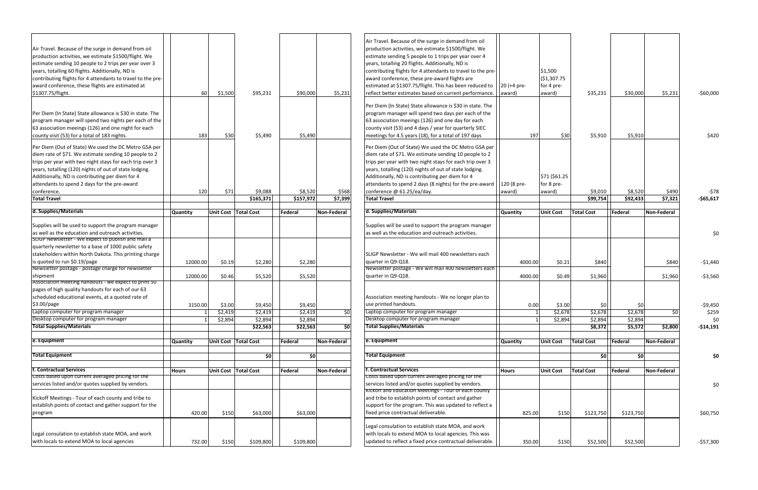| Air Travel. Because of the surge in demand from oil<br>production activities, we estimate \$1500/flight. We<br>estimate sending 10 people to 2 trips per year over 3<br>years, totalling 60 flights. Additionally, ND is<br>contributing flights for 4 attendants to travel to the pre-<br>award conference, these flights are estimated at<br>\$1307.75/flight.             | 60              | \$1,500 | \$95,231                    | \$90,000             | \$5,231          | Air Travel. Because of the surge in demand from oil<br>production activities, we estimate \$1500/flight. We<br>estimate sending 5 people to 1 trips per year over 4<br>years, totalling 20 flights. Additionally, ND is<br>contributing flights for 4 attendants to travel to the pre-<br>award conference, these pre-award flights are<br>estimated at \$1307.75/flight. This has been reduced to<br>reflect better estimates based on current performance. | 20 (+4 pre-<br>award) | \$1,500<br>(\$1,307.75<br>for 4 pre-<br>award) | \$35,231            | \$30,000            | \$5,23         |
|------------------------------------------------------------------------------------------------------------------------------------------------------------------------------------------------------------------------------------------------------------------------------------------------------------------------------------------------------------------------------|-----------------|---------|-----------------------------|----------------------|------------------|--------------------------------------------------------------------------------------------------------------------------------------------------------------------------------------------------------------------------------------------------------------------------------------------------------------------------------------------------------------------------------------------------------------------------------------------------------------|-----------------------|------------------------------------------------|---------------------|---------------------|----------------|
| Per Diem (In State) State allowance is \$30 in state. The<br>program manager will spend two nights per each of the<br>63 association meeings (126) and one night for each<br>county visit (53) for a total of 183 nights.                                                                                                                                                    | 183             | \$30    | \$5,490                     | \$5,490              |                  | Per Diem (In State) State allowance is \$30 in state. The<br>program manager will spend two days per each of the<br>63 association meeings (126) and one day for each<br>county visit (53) and 4 days / year for quarterly SIEC<br>meetings for 4.5 years (18), for a total of 197 days                                                                                                                                                                      | 197                   | \$30                                           | \$5,910             | \$5,910             |                |
| Per Diem (Out of State) We used the DC Metro GSA per<br>diem rate of \$71. We estimate sending 10 people to 2<br>trips per year with two night stays for each trip over 3<br>years, totalling (120) nights of out of state lodging.<br>Additionally, ND is contributing per diem for 4<br>attendants to spend 2 days for the pre-award<br>conference.<br><b>Total Travel</b> | 120             | \$71    | \$9,088<br>\$165,371        | \$8,520<br>\$157,972 | \$568<br>\$7,399 | Per Diem (Out of State) We used the DC Metro GSA per<br>diem rate of \$71. We estimate sending 10 people to 2<br>trips per year with two night stays for each trip over 3<br>years, totalling (120) nights of out of state lodging.<br>Additionally, ND is contributing per diem for 4<br>attendants to spend 2 days (8 nights) for the pre-award<br>conference @ 61.25/ea/day.<br><b>Total Travel</b>                                                       | 120 (8 pre-<br>award) | \$71 (\$61.25<br>for 8 pre-<br>award)          | \$9,010<br>\$99,754 | \$8,520<br>\$92,433 | \$49<br>\$7,32 |
| d. Supplies/Materials                                                                                                                                                                                                                                                                                                                                                        | <b>Quantity</b> |         | Unit Cost Total Cost        | Federal              | Non-Federal      | d. Supplies/Materials                                                                                                                                                                                                                                                                                                                                                                                                                                        | <b>Quantity</b>       | <b>Unit Cost</b>                               | <b>Total Cost</b>   | Federal             | Non-Federa     |
| Supplies will be used to support the program manager<br>as well as the education and outreach activities.<br>SLIGP Newsletter - we expect to publish and mail a                                                                                                                                                                                                              |                 |         |                             |                      |                  | Supplies will be used to support the program manager<br>as well as the education and outreach activities.                                                                                                                                                                                                                                                                                                                                                    |                       |                                                |                     |                     |                |
| quarterly newsletter to a base of 1000 public safety<br>stakeholders within North Dakota. This printing charge<br>is quoted to run \$0.19/page<br>Newsletter postage - postage charge for newsletter                                                                                                                                                                         | 12000.00        | \$0.19  | \$2,280                     | \$2,280              |                  | SLIGP Newsletter - We will mail 400 newsletters each<br>quarter in Q9-Q18.<br>Newsletter postage - We will mail 400 newsletters each                                                                                                                                                                                                                                                                                                                         | 4000.00               | \$0.21                                         | \$840               |                     | \$84           |
| shipment                                                                                                                                                                                                                                                                                                                                                                     | 12000.00        | \$0.46  | \$5,520                     | \$5,520              |                  | quarter in Q9-Q18.                                                                                                                                                                                                                                                                                                                                                                                                                                           | 4000.00               | \$0.49                                         | \$1,960             |                     | \$1,96         |
| Association meeting nandouts - we expect to print 50<br>pages of high quality handouts for each of our 63<br>scheduled educational events, at a quoted rate of<br>\$3.00/page                                                                                                                                                                                                | 3150.00         | \$3.00  | \$9,450                     | \$9,450              |                  | Association meeting handouts - We no longer plan to<br>use printed handouts.                                                                                                                                                                                                                                                                                                                                                                                 | 0.00                  | \$3.00                                         | \$0                 |                     |                |
| Laptop computer for program manager                                                                                                                                                                                                                                                                                                                                          |                 | \$2,419 | \$2,419                     | \$2,419              | \$0              | Laptop computer for program manager                                                                                                                                                                                                                                                                                                                                                                                                                          |                       | \$2,678                                        | \$2,678             | \$2,678             |                |
| Desktop computer for program manager<br><b>Total Supplies/Materials</b>                                                                                                                                                                                                                                                                                                      |                 | \$2,894 | \$2,894                     | \$2,894              |                  | Desktop computer for program manager<br><b>Total Supplies/Materials</b>                                                                                                                                                                                                                                                                                                                                                                                      |                       | \$2,894                                        | \$2,894             | \$2,894             |                |
|                                                                                                                                                                                                                                                                                                                                                                              |                 |         | \$22,563                    | \$22,563             | \$0l             |                                                                                                                                                                                                                                                                                                                                                                                                                                                              |                       |                                                | \$8,372             | \$5,572             | \$2,80         |
| e. Equipment                                                                                                                                                                                                                                                                                                                                                                 | Quantity        |         | <b>Unit Cost Total Cost</b> | Federal              | Non-Federal      | e. Equipment                                                                                                                                                                                                                                                                                                                                                                                                                                                 | <b>Quantity</b>       | <b>Unit Cost</b>                               | <b>Total Cost</b>   | Federal             | Non-Federa     |
| <b>Total Equipment</b>                                                                                                                                                                                                                                                                                                                                                       |                 |         | 50                          | \$0]                 |                  | <b>Total Equipment</b>                                                                                                                                                                                                                                                                                                                                                                                                                                       |                       |                                                | $\frac{1}{2}$       | \$0                 |                |
|                                                                                                                                                                                                                                                                                                                                                                              |                 |         |                             |                      |                  |                                                                                                                                                                                                                                                                                                                                                                                                                                                              |                       |                                                |                     |                     |                |
| <b>f. Contractual Services</b>                                                                                                                                                                                                                                                                                                                                               | <b>Hours</b>    |         | Unit Cost Total Cost        | Federal              | Non-Federal      | f. Contractual Services                                                                                                                                                                                                                                                                                                                                                                                                                                      | <b>Hours</b>          | <b>Unit Cost</b>                               | <b>Total Cost</b>   | Federal             | Non-Federa     |
| Costs based upon current averaged pricing for the<br>services listed and/or quotes supplied by vendors.                                                                                                                                                                                                                                                                      |                 |         |                             |                      |                  | Costs based upon current averaged pricing for the<br>services listed and/or quotes supplied by vendors.                                                                                                                                                                                                                                                                                                                                                      |                       |                                                |                     |                     |                |
| Kickoff Meetings - Tour of each county and tribe to<br>establish points of contact and gather support for the<br>program                                                                                                                                                                                                                                                     | 420.00          | \$150   | \$63,000                    | \$63,000             |                  | <b>KICKOTT and Education Meetings - Tour of each county</b><br>and tribe to establish points of contact and gather<br>support for the program. This was updated to reflect a<br>fixed price contractual deliverable.                                                                                                                                                                                                                                         | 825.00                | \$150                                          | \$123,750           | \$123,750           |                |
| Legal consulation to establish state MOA, and work<br>with locals to extend MOA to local agencies                                                                                                                                                                                                                                                                            | 732.00          | \$150   | \$109,800                   | \$109,800            |                  | Legal consulation to establish state MOA, and work<br>with locals to extend MOA to local agencies. This was<br>updated to reflect a fixed price contractual deliverable.                                                                                                                                                                                                                                                                                     | 350.00                | \$150                                          | \$52,500            | \$52,500            |                |

| Air Travel. Because of the surge in demand from oil<br>Air Travel. Because of the surge in demand from oil<br>production activities, we estimate \$1500/flight. We<br>production activities, we estimate \$1500/flight. We<br>estimate sending 5 people to 1 trips per year over 4<br>estimate sending 10 people to 2 trips per year over 3<br>years, totalling 20 flights. Additionally, ND is<br>years, totalling 60 flights. Additionally, ND is<br>contributing flights for 4 attendants to travel to the pre-<br>\$1,500<br>( \$1,307.75<br>contributing flights for 4 attendants to travel to the pre-<br>award conference, these pre-award flights are<br>award conference, these flights are estimated at<br>estimated at \$1307.75/flight. This has been reduced to<br>20 (+4 pre-<br>for 4 pre-<br>60<br>\$95,231<br>\$90,000<br>reflect better estimates based on current performance.<br>\$35,231<br>\$30,000<br>\$5,231<br>\$1307.75/flight.<br>\$1,500<br>\$5,231<br>award)<br>award)<br>Per Diem (In State) State allowance is \$30 in state. The<br>Per Diem (In State) State allowance is \$30 in state. The<br>program manager will spend two days per each of the<br>63 association meeings (126) and one day for each<br>program manager will spend two nights per each of the<br>63 association meeings (126) and one night for each<br>county visit (53) and 4 days / year for quarterly SIEC<br>183<br>\$5,490<br>197<br>\$30<br>\$5,910<br>county visit (53) for a total of 183 nights.<br>\$30<br>\$5,490<br>meetings for 4.5 years (18), for a total of 197 days<br>\$5,910<br>Per Diem (Out of State) We used the DC Metro GSA per<br>Per Diem (Out of State) We used the DC Metro GSA per<br>diem rate of \$71. We estimate sending 10 people to 2<br>diem rate of \$71. We estimate sending 10 people to 2<br>trips per year with two night stays for each trip over 3<br>trips per year with two night stays for each trip over 3<br>years, totalling (120) nights of out of state lodging.<br>years, totalling (120) nights of out of state lodging.<br>Additionally, ND is contributing per diem for 4<br>Additionally, ND is contributing per diem for 4<br>\$71 (\$61.25<br>120 (8 pre-<br>attendants to spend 2 days for the pre-award<br>attendants to spend 2 days (8 nights) for the pre-award<br>for 8 pre-<br>120<br>\$71<br>\$9,088<br>\$8,520<br>\$568<br>conference @ 61.25/ea/day.<br>\$8,520<br>\$9,010<br>\$490<br>conference.<br>award)<br>award)<br><b>Total Travel</b><br>\$7,399<br>\$165,371<br>\$157,972<br>\$99,754<br>\$92,433<br>\$7,321<br><b>Total Travel</b><br>d. Supplies/Materials<br>d. Supplies/Materials<br><b>Total Cost</b><br>Unit Cost Total Cost<br>Federal<br><b>Unit Cost</b><br>Federal<br><b>Non-Federal</b><br><b>Quantity</b><br>Non-Federal<br>Quantity<br>Supplies will be used to support the program manager<br>Supplies will be used to support the program manager<br>as well as the education and outreach activities.<br>as well as the education and outreach activities.<br>SLIGP Newsletter - we expect to publish and mail a<br>quarterly newsletter to a base of 1000 public safety<br>stakeholders within North Dakota. This printing charge<br>SLIGP Newsletter - We will mail 400 newsletters each<br>is quoted to run \$0.19/page<br>quarter in Q9-Q18.<br>\$2,280<br>\$2,280<br>\$0.21<br>\$840<br>12000.00<br>\$0.19<br>4000.00<br>\$840<br>Newsletter postage - postage charge for newsletter<br>Newsletter postage - We will mail 400 newsletters each<br>quarter in Q9-Q18.<br>shipment<br>\$1,960<br>\$0.46<br>\$5,520<br>\$5,520<br>4000.00<br>\$0.49<br>\$1,960<br>12000.00<br>Association meeting handouts - we expect to print 50<br>pages of high quality handouts for each of our 63<br>scheduled educational events, at a quoted rate of<br>Association meeting handouts - We no longer plan to<br>\$3.00/page<br>use printed handouts.<br>3150.00<br>\$9,450<br>\$9,450<br>0.00<br>\$3.00<br>\$3.00<br>\$0<br>Ş0<br>Laptop computer for program manager<br>\$2,419<br>$\overline{50}$<br>Laptop computer for program manager<br>\$2,678<br>\$2,678<br>\$2,419<br>\$2,419<br>\$2,678<br>\$0l<br>Desktop computer for program manager<br>Desktop computer for program manager<br>\$2,894<br>\$2,894<br>\$2,894<br>\$2,894<br>\$2,894<br>\$2,894<br><b>Total Supplies/Materials</b><br><b>Total Supplies/Materials</b><br>\$22,563<br>\$22,563<br>ģ<br>\$8,372<br>\$5,572<br>\$2,800<br>e. Equipment<br>e. Equipment<br><b>Unit Cost   Total Cost</b><br>Federal<br><b>Total Cost</b><br>Federal<br>Non-Federal<br><b>Unit Cost</b><br>Non-Federal<br><b>Quantity</b><br><b>Quantity</b><br><b>Total Equipment</b><br><b>Total Equipment</b><br>50<br>\$0<br>\$0<br>50<br>f. Contractual Services<br>f. Contractual Services<br>Unit Cost   Total Cost<br>Federal<br>Non-Federal<br><b>Hours</b><br><b>Unit Cost</b><br><b>Total Cost</b><br>Federal<br>Non-Federal<br><b>Hours</b><br>Costs based upon current averaged pricing for the<br>Costs based upon current averaged pricing for the<br>services listed and/or quotes supplied by vendors.<br>services listed and/or quotes supplied by vendors.<br><b>KICKOTT and Education Meetings - Tour of each county</b><br>Kickoff Meetings - Tour of each county and tribe to<br>and tribe to establish points of contact and gather<br>establish points of contact and gather support for the<br>support for the program. This was updated to reflect a<br>fixed price contractual deliverable.<br>program<br>\$150<br>\$63,000<br>\$63,000<br>\$123,750<br>\$123,750<br>420.00<br>825.00<br>\$150<br>Legal consulation to establish state MOA, and work<br>with locals to extend MOA to local agencies. This was<br>Legal consulation to establish state MOA, and work<br>with locals to extend MOA to local agencies<br>updated to reflect a fixed price contractual deliverable.<br>\$150<br>\$109,800<br>\$109,800<br>\$52,500<br>732.00<br>350.00<br>\$150<br>\$52,500 |  |  |  |  |  |  |                     |
|---------------------------------------------------------------------------------------------------------------------------------------------------------------------------------------------------------------------------------------------------------------------------------------------------------------------------------------------------------------------------------------------------------------------------------------------------------------------------------------------------------------------------------------------------------------------------------------------------------------------------------------------------------------------------------------------------------------------------------------------------------------------------------------------------------------------------------------------------------------------------------------------------------------------------------------------------------------------------------------------------------------------------------------------------------------------------------------------------------------------------------------------------------------------------------------------------------------------------------------------------------------------------------------------------------------------------------------------------------------------------------------------------------------------------------------------------------------------------------------------------------------------------------------------------------------------------------------------------------------------------------------------------------------------------------------------------------------------------------------------------------------------------------------------------------------------------------------------------------------------------------------------------------------------------------------------------------------------------------------------------------------------------------------------------------------------------------------------------------------------------------------------------------------------------------------------------------------------------------------------------------------------------------------------------------------------------------------------------------------------------------------------------------------------------------------------------------------------------------------------------------------------------------------------------------------------------------------------------------------------------------------------------------------------------------------------------------------------------------------------------------------------------------------------------------------------------------------------------------------------------------------------------------------------------------------------------------------------------------------------------------------------------------------------------------------------------------------------------------------------------------------------------------------------------------------------------------------------------------------------------------------------------------------------------------------------------------------------------------------------------------------------------------------------------------------------------------------------------------------------------------------------------------------------------------------------------------------------------------------------------------------------------------------------------------------------------------------------------------------------------------------------------------------------------------------------------------------------------------------------------------------------------------------------------------------------------------------------------------------------------------------------------------------------------------------------------------------------------------------------------------------------------------------------------------------------------------------------------------------------------------------------------------------------------------------------------------------------------------------------------------------------------------------------------------------------------------------------------------------------------------------------------------------------------------------------------------------------------------------------------------------------------------------------------------------------------------------------------------------------------------------------------------------------------------------------------------------------------------------------------------------------------------------------------------------------------------------------------------------------------------------------------------------------------------------------------------------------------------------------------------------------------------------------------------------------------------------------------------------------------------------------------------------------------------------------------------------------------------------------------------------------------------------------------------------------------------------------------------------------------------------------------------------------------------------------------------------------------------------------------------------------------------------------------------------------------------------------------------------------------------------------------------------------------------------------------------------------------------------------------------------------------------------------------------------------------------------------------------------------------------------------------------------|--|--|--|--|--|--|---------------------|
|                                                                                                                                                                                                                                                                                                                                                                                                                                                                                                                                                                                                                                                                                                                                                                                                                                                                                                                                                                                                                                                                                                                                                                                                                                                                                                                                                                                                                                                                                                                                                                                                                                                                                                                                                                                                                                                                                                                                                                                                                                                                                                                                                                                                                                                                                                                                                                                                                                                                                                                                                                                                                                                                                                                                                                                                                                                                                                                                                                                                                                                                                                                                                                                                                                                                                                                                                                                                                                                                                                                                                                                                                                                                                                                                                                                                                                                                                                                                                                                                                                                                                                                                                                                                                                                                                                                                                                                                                                                                                                                                                                                                                                                                                                                                                                                                                                                                                                                                                                                                                                                                                                                                                                                                                                                                                                                                                                                                                                                                                                                                                                                                                                                                                                                                                                                                                                                                                                                                                                                                                                       |  |  |  |  |  |  | $-$60,000$          |
|                                                                                                                                                                                                                                                                                                                                                                                                                                                                                                                                                                                                                                                                                                                                                                                                                                                                                                                                                                                                                                                                                                                                                                                                                                                                                                                                                                                                                                                                                                                                                                                                                                                                                                                                                                                                                                                                                                                                                                                                                                                                                                                                                                                                                                                                                                                                                                                                                                                                                                                                                                                                                                                                                                                                                                                                                                                                                                                                                                                                                                                                                                                                                                                                                                                                                                                                                                                                                                                                                                                                                                                                                                                                                                                                                                                                                                                                                                                                                                                                                                                                                                                                                                                                                                                                                                                                                                                                                                                                                                                                                                                                                                                                                                                                                                                                                                                                                                                                                                                                                                                                                                                                                                                                                                                                                                                                                                                                                                                                                                                                                                                                                                                                                                                                                                                                                                                                                                                                                                                                                                       |  |  |  |  |  |  | \$420               |
|                                                                                                                                                                                                                                                                                                                                                                                                                                                                                                                                                                                                                                                                                                                                                                                                                                                                                                                                                                                                                                                                                                                                                                                                                                                                                                                                                                                                                                                                                                                                                                                                                                                                                                                                                                                                                                                                                                                                                                                                                                                                                                                                                                                                                                                                                                                                                                                                                                                                                                                                                                                                                                                                                                                                                                                                                                                                                                                                                                                                                                                                                                                                                                                                                                                                                                                                                                                                                                                                                                                                                                                                                                                                                                                                                                                                                                                                                                                                                                                                                                                                                                                                                                                                                                                                                                                                                                                                                                                                                                                                                                                                                                                                                                                                                                                                                                                                                                                                                                                                                                                                                                                                                                                                                                                                                                                                                                                                                                                                                                                                                                                                                                                                                                                                                                                                                                                                                                                                                                                                                                       |  |  |  |  |  |  | -\$78<br>$-$65,617$ |
|                                                                                                                                                                                                                                                                                                                                                                                                                                                                                                                                                                                                                                                                                                                                                                                                                                                                                                                                                                                                                                                                                                                                                                                                                                                                                                                                                                                                                                                                                                                                                                                                                                                                                                                                                                                                                                                                                                                                                                                                                                                                                                                                                                                                                                                                                                                                                                                                                                                                                                                                                                                                                                                                                                                                                                                                                                                                                                                                                                                                                                                                                                                                                                                                                                                                                                                                                                                                                                                                                                                                                                                                                                                                                                                                                                                                                                                                                                                                                                                                                                                                                                                                                                                                                                                                                                                                                                                                                                                                                                                                                                                                                                                                                                                                                                                                                                                                                                                                                                                                                                                                                                                                                                                                                                                                                                                                                                                                                                                                                                                                                                                                                                                                                                                                                                                                                                                                                                                                                                                                                                       |  |  |  |  |  |  |                     |
|                                                                                                                                                                                                                                                                                                                                                                                                                                                                                                                                                                                                                                                                                                                                                                                                                                                                                                                                                                                                                                                                                                                                                                                                                                                                                                                                                                                                                                                                                                                                                                                                                                                                                                                                                                                                                                                                                                                                                                                                                                                                                                                                                                                                                                                                                                                                                                                                                                                                                                                                                                                                                                                                                                                                                                                                                                                                                                                                                                                                                                                                                                                                                                                                                                                                                                                                                                                                                                                                                                                                                                                                                                                                                                                                                                                                                                                                                                                                                                                                                                                                                                                                                                                                                                                                                                                                                                                                                                                                                                                                                                                                                                                                                                                                                                                                                                                                                                                                                                                                                                                                                                                                                                                                                                                                                                                                                                                                                                                                                                                                                                                                                                                                                                                                                                                                                                                                                                                                                                                                                                       |  |  |  |  |  |  | \$0                 |
|                                                                                                                                                                                                                                                                                                                                                                                                                                                                                                                                                                                                                                                                                                                                                                                                                                                                                                                                                                                                                                                                                                                                                                                                                                                                                                                                                                                                                                                                                                                                                                                                                                                                                                                                                                                                                                                                                                                                                                                                                                                                                                                                                                                                                                                                                                                                                                                                                                                                                                                                                                                                                                                                                                                                                                                                                                                                                                                                                                                                                                                                                                                                                                                                                                                                                                                                                                                                                                                                                                                                                                                                                                                                                                                                                                                                                                                                                                                                                                                                                                                                                                                                                                                                                                                                                                                                                                                                                                                                                                                                                                                                                                                                                                                                                                                                                                                                                                                                                                                                                                                                                                                                                                                                                                                                                                                                                                                                                                                                                                                                                                                                                                                                                                                                                                                                                                                                                                                                                                                                                                       |  |  |  |  |  |  | $-$1,440$           |
|                                                                                                                                                                                                                                                                                                                                                                                                                                                                                                                                                                                                                                                                                                                                                                                                                                                                                                                                                                                                                                                                                                                                                                                                                                                                                                                                                                                                                                                                                                                                                                                                                                                                                                                                                                                                                                                                                                                                                                                                                                                                                                                                                                                                                                                                                                                                                                                                                                                                                                                                                                                                                                                                                                                                                                                                                                                                                                                                                                                                                                                                                                                                                                                                                                                                                                                                                                                                                                                                                                                                                                                                                                                                                                                                                                                                                                                                                                                                                                                                                                                                                                                                                                                                                                                                                                                                                                                                                                                                                                                                                                                                                                                                                                                                                                                                                                                                                                                                                                                                                                                                                                                                                                                                                                                                                                                                                                                                                                                                                                                                                                                                                                                                                                                                                                                                                                                                                                                                                                                                                                       |  |  |  |  |  |  | $-53,560$           |
|                                                                                                                                                                                                                                                                                                                                                                                                                                                                                                                                                                                                                                                                                                                                                                                                                                                                                                                                                                                                                                                                                                                                                                                                                                                                                                                                                                                                                                                                                                                                                                                                                                                                                                                                                                                                                                                                                                                                                                                                                                                                                                                                                                                                                                                                                                                                                                                                                                                                                                                                                                                                                                                                                                                                                                                                                                                                                                                                                                                                                                                                                                                                                                                                                                                                                                                                                                                                                                                                                                                                                                                                                                                                                                                                                                                                                                                                                                                                                                                                                                                                                                                                                                                                                                                                                                                                                                                                                                                                                                                                                                                                                                                                                                                                                                                                                                                                                                                                                                                                                                                                                                                                                                                                                                                                                                                                                                                                                                                                                                                                                                                                                                                                                                                                                                                                                                                                                                                                                                                                                                       |  |  |  |  |  |  | $-59,450$           |
|                                                                                                                                                                                                                                                                                                                                                                                                                                                                                                                                                                                                                                                                                                                                                                                                                                                                                                                                                                                                                                                                                                                                                                                                                                                                                                                                                                                                                                                                                                                                                                                                                                                                                                                                                                                                                                                                                                                                                                                                                                                                                                                                                                                                                                                                                                                                                                                                                                                                                                                                                                                                                                                                                                                                                                                                                                                                                                                                                                                                                                                                                                                                                                                                                                                                                                                                                                                                                                                                                                                                                                                                                                                                                                                                                                                                                                                                                                                                                                                                                                                                                                                                                                                                                                                                                                                                                                                                                                                                                                                                                                                                                                                                                                                                                                                                                                                                                                                                                                                                                                                                                                                                                                                                                                                                                                                                                                                                                                                                                                                                                                                                                                                                                                                                                                                                                                                                                                                                                                                                                                       |  |  |  |  |  |  | \$259               |
|                                                                                                                                                                                                                                                                                                                                                                                                                                                                                                                                                                                                                                                                                                                                                                                                                                                                                                                                                                                                                                                                                                                                                                                                                                                                                                                                                                                                                                                                                                                                                                                                                                                                                                                                                                                                                                                                                                                                                                                                                                                                                                                                                                                                                                                                                                                                                                                                                                                                                                                                                                                                                                                                                                                                                                                                                                                                                                                                                                                                                                                                                                                                                                                                                                                                                                                                                                                                                                                                                                                                                                                                                                                                                                                                                                                                                                                                                                                                                                                                                                                                                                                                                                                                                                                                                                                                                                                                                                                                                                                                                                                                                                                                                                                                                                                                                                                                                                                                                                                                                                                                                                                                                                                                                                                                                                                                                                                                                                                                                                                                                                                                                                                                                                                                                                                                                                                                                                                                                                                                                                       |  |  |  |  |  |  | \$0                 |
|                                                                                                                                                                                                                                                                                                                                                                                                                                                                                                                                                                                                                                                                                                                                                                                                                                                                                                                                                                                                                                                                                                                                                                                                                                                                                                                                                                                                                                                                                                                                                                                                                                                                                                                                                                                                                                                                                                                                                                                                                                                                                                                                                                                                                                                                                                                                                                                                                                                                                                                                                                                                                                                                                                                                                                                                                                                                                                                                                                                                                                                                                                                                                                                                                                                                                                                                                                                                                                                                                                                                                                                                                                                                                                                                                                                                                                                                                                                                                                                                                                                                                                                                                                                                                                                                                                                                                                                                                                                                                                                                                                                                                                                                                                                                                                                                                                                                                                                                                                                                                                                                                                                                                                                                                                                                                                                                                                                                                                                                                                                                                                                                                                                                                                                                                                                                                                                                                                                                                                                                                                       |  |  |  |  |  |  | -\$14,191           |
|                                                                                                                                                                                                                                                                                                                                                                                                                                                                                                                                                                                                                                                                                                                                                                                                                                                                                                                                                                                                                                                                                                                                                                                                                                                                                                                                                                                                                                                                                                                                                                                                                                                                                                                                                                                                                                                                                                                                                                                                                                                                                                                                                                                                                                                                                                                                                                                                                                                                                                                                                                                                                                                                                                                                                                                                                                                                                                                                                                                                                                                                                                                                                                                                                                                                                                                                                                                                                                                                                                                                                                                                                                                                                                                                                                                                                                                                                                                                                                                                                                                                                                                                                                                                                                                                                                                                                                                                                                                                                                                                                                                                                                                                                                                                                                                                                                                                                                                                                                                                                                                                                                                                                                                                                                                                                                                                                                                                                                                                                                                                                                                                                                                                                                                                                                                                                                                                                                                                                                                                                                       |  |  |  |  |  |  |                     |
|                                                                                                                                                                                                                                                                                                                                                                                                                                                                                                                                                                                                                                                                                                                                                                                                                                                                                                                                                                                                                                                                                                                                                                                                                                                                                                                                                                                                                                                                                                                                                                                                                                                                                                                                                                                                                                                                                                                                                                                                                                                                                                                                                                                                                                                                                                                                                                                                                                                                                                                                                                                                                                                                                                                                                                                                                                                                                                                                                                                                                                                                                                                                                                                                                                                                                                                                                                                                                                                                                                                                                                                                                                                                                                                                                                                                                                                                                                                                                                                                                                                                                                                                                                                                                                                                                                                                                                                                                                                                                                                                                                                                                                                                                                                                                                                                                                                                                                                                                                                                                                                                                                                                                                                                                                                                                                                                                                                                                                                                                                                                                                                                                                                                                                                                                                                                                                                                                                                                                                                                                                       |  |  |  |  |  |  |                     |
|                                                                                                                                                                                                                                                                                                                                                                                                                                                                                                                                                                                                                                                                                                                                                                                                                                                                                                                                                                                                                                                                                                                                                                                                                                                                                                                                                                                                                                                                                                                                                                                                                                                                                                                                                                                                                                                                                                                                                                                                                                                                                                                                                                                                                                                                                                                                                                                                                                                                                                                                                                                                                                                                                                                                                                                                                                                                                                                                                                                                                                                                                                                                                                                                                                                                                                                                                                                                                                                                                                                                                                                                                                                                                                                                                                                                                                                                                                                                                                                                                                                                                                                                                                                                                                                                                                                                                                                                                                                                                                                                                                                                                                                                                                                                                                                                                                                                                                                                                                                                                                                                                                                                                                                                                                                                                                                                                                                                                                                                                                                                                                                                                                                                                                                                                                                                                                                                                                                                                                                                                                       |  |  |  |  |  |  |                     |
|                                                                                                                                                                                                                                                                                                                                                                                                                                                                                                                                                                                                                                                                                                                                                                                                                                                                                                                                                                                                                                                                                                                                                                                                                                                                                                                                                                                                                                                                                                                                                                                                                                                                                                                                                                                                                                                                                                                                                                                                                                                                                                                                                                                                                                                                                                                                                                                                                                                                                                                                                                                                                                                                                                                                                                                                                                                                                                                                                                                                                                                                                                                                                                                                                                                                                                                                                                                                                                                                                                                                                                                                                                                                                                                                                                                                                                                                                                                                                                                                                                                                                                                                                                                                                                                                                                                                                                                                                                                                                                                                                                                                                                                                                                                                                                                                                                                                                                                                                                                                                                                                                                                                                                                                                                                                                                                                                                                                                                                                                                                                                                                                                                                                                                                                                                                                                                                                                                                                                                                                                                       |  |  |  |  |  |  |                     |
|                                                                                                                                                                                                                                                                                                                                                                                                                                                                                                                                                                                                                                                                                                                                                                                                                                                                                                                                                                                                                                                                                                                                                                                                                                                                                                                                                                                                                                                                                                                                                                                                                                                                                                                                                                                                                                                                                                                                                                                                                                                                                                                                                                                                                                                                                                                                                                                                                                                                                                                                                                                                                                                                                                                                                                                                                                                                                                                                                                                                                                                                                                                                                                                                                                                                                                                                                                                                                                                                                                                                                                                                                                                                                                                                                                                                                                                                                                                                                                                                                                                                                                                                                                                                                                                                                                                                                                                                                                                                                                                                                                                                                                                                                                                                                                                                                                                                                                                                                                                                                                                                                                                                                                                                                                                                                                                                                                                                                                                                                                                                                                                                                                                                                                                                                                                                                                                                                                                                                                                                                                       |  |  |  |  |  |  |                     |
|                                                                                                                                                                                                                                                                                                                                                                                                                                                                                                                                                                                                                                                                                                                                                                                                                                                                                                                                                                                                                                                                                                                                                                                                                                                                                                                                                                                                                                                                                                                                                                                                                                                                                                                                                                                                                                                                                                                                                                                                                                                                                                                                                                                                                                                                                                                                                                                                                                                                                                                                                                                                                                                                                                                                                                                                                                                                                                                                                                                                                                                                                                                                                                                                                                                                                                                                                                                                                                                                                                                                                                                                                                                                                                                                                                                                                                                                                                                                                                                                                                                                                                                                                                                                                                                                                                                                                                                                                                                                                                                                                                                                                                                                                                                                                                                                                                                                                                                                                                                                                                                                                                                                                                                                                                                                                                                                                                                                                                                                                                                                                                                                                                                                                                                                                                                                                                                                                                                                                                                                                                       |  |  |  |  |  |  | \$60,750            |
|                                                                                                                                                                                                                                                                                                                                                                                                                                                                                                                                                                                                                                                                                                                                                                                                                                                                                                                                                                                                                                                                                                                                                                                                                                                                                                                                                                                                                                                                                                                                                                                                                                                                                                                                                                                                                                                                                                                                                                                                                                                                                                                                                                                                                                                                                                                                                                                                                                                                                                                                                                                                                                                                                                                                                                                                                                                                                                                                                                                                                                                                                                                                                                                                                                                                                                                                                                                                                                                                                                                                                                                                                                                                                                                                                                                                                                                                                                                                                                                                                                                                                                                                                                                                                                                                                                                                                                                                                                                                                                                                                                                                                                                                                                                                                                                                                                                                                                                                                                                                                                                                                                                                                                                                                                                                                                                                                                                                                                                                                                                                                                                                                                                                                                                                                                                                                                                                                                                                                                                                                                       |  |  |  |  |  |  | $-$ \$57,300        |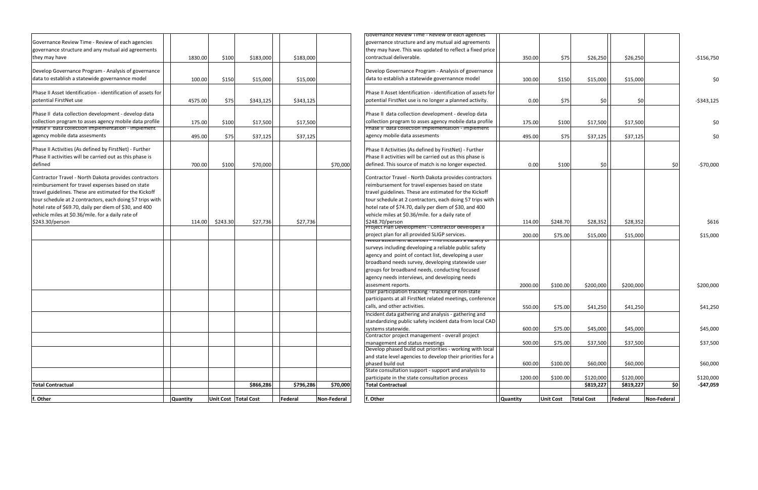|                                                              |          |          |                      |           |             | Governance Review Time - Review of each agencies                      |                 |                  |                   |           |            |
|--------------------------------------------------------------|----------|----------|----------------------|-----------|-------------|-----------------------------------------------------------------------|-----------------|------------------|-------------------|-----------|------------|
| Governance Review Time - Review of each agencies             |          |          |                      |           |             | governance structure and any mutual aid agreements                    |                 |                  |                   |           |            |
| governance structure and any mutual aid agreements           |          |          |                      |           |             | they may have. This was updated to reflect a fixed price              |                 |                  |                   |           |            |
| they may have                                                | 1830.00  | \$100    | \$183,000            | \$183,000 |             | contractual deliverable.                                              | 350.00          | \$75             | \$26,250          | \$26,250  |            |
|                                                              |          |          |                      |           |             |                                                                       |                 |                  |                   |           |            |
| Develop Governance Program - Analysis of governance          |          |          |                      |           |             | Develop Governance Program - Analysis of governance                   |                 |                  |                   |           |            |
| data to establish a statewide governannce model              | 100.00   | \$150    | \$15,000             | \$15,000  |             | data to establish a statewide governannce model                       | 100.00          | \$150            | \$15,000          | \$15,000  |            |
|                                                              |          |          |                      |           |             |                                                                       |                 |                  |                   |           |            |
| Phase II Asset Identification - identification of assets for |          |          |                      |           |             | Phase II Asset Identification - identification of assets for          |                 |                  |                   |           |            |
| potential FirstNet use                                       | 4575.00  | \$75     | \$343,125            | \$343,125 |             | potential FirstNet use is no longer a planned activity.               | 0.00            | \$75             | \$0               | \$0       |            |
|                                                              |          |          |                      |           |             |                                                                       |                 |                  |                   |           |            |
| Phase II data collection development - develop data          |          |          |                      |           |             | Phase II data collection development - develop data                   |                 |                  |                   |           |            |
| collection program to asses agency mobile data profile       | 175.00   | \$100    | \$17,500             | \$17,500  |             | collection program to asses agency mobile data profile                | 175.00          | \$100            | \$17,500          | \$17,500  |            |
| Phase II data collection implementation - implement          |          |          |                      |           |             | Phase II data collection implementation - implement                   |                 |                  |                   |           |            |
| agency mobile data assesments                                | 495.00   | \$75     | \$37,125             | \$37,125  |             | agency mobile data assesments                                         | 495.00          | \$75             | \$37,125          | \$37,125  |            |
| Phase II Activities (As defined by FirstNet) - Further       |          |          |                      |           |             | Phase II Activities (As defined by FirstNet) - Further                |                 |                  |                   |           |            |
| Phase II activities will be carried out as this phase is     |          |          |                      |           |             | Phase II activities will be carried out as this phase is              |                 |                  |                   |           |            |
|                                                              |          |          |                      |           |             |                                                                       |                 |                  |                   |           |            |
| defined                                                      | 700.00   | \$100    | \$70,000             |           | \$70,000    | defined. This source of match is no longer expected.                  | 0.00            | \$100            | \$0               |           |            |
| Contractor Travel - North Dakota provides contractors        |          |          |                      |           |             | Contractor Travel - North Dakota provides contractors                 |                 |                  |                   |           |            |
| reimbursement for travel expenses based on state             |          |          |                      |           |             | reimbursement for travel expenses based on state                      |                 |                  |                   |           |            |
| travel guidelines. These are estimated for the Kickoff       |          |          |                      |           |             | travel guidelines. These are estimated for the Kickoff                |                 |                  |                   |           |            |
|                                                              |          |          |                      |           |             |                                                                       |                 |                  |                   |           |            |
| tour schedule at 2 contractors, each doing 57 trips with     |          |          |                      |           |             | tour schedule at 2 contractors, each doing 57 trips with              |                 |                  |                   |           |            |
| hotel rate of \$69.70, daily per diem of \$30, and 400       |          |          |                      |           |             | hotel rate of \$74.70, daily per diem of \$30, and 400                |                 |                  |                   |           |            |
| vehicle miles at \$0.36/mile. for a daily rate of            |          |          |                      |           |             | vehicle miles at \$0.36/mile. for a daily rate of                     |                 |                  |                   |           |            |
| \$243.30/person                                              | 114.00   | \$243.30 | \$27,736             | \$27,736  |             | \$248.70/person<br>Project Plan Development - Contractor developes a  | 114.00          | \$248.70         | \$28,352          | \$28,352  |            |
|                                                              |          |          |                      |           |             | project plan for all provided SLIGP services.                         | 200.00          | \$75.00          |                   |           |            |
|                                                              |          |          |                      |           |             | Needs assesment activities - This includes a variety of               |                 |                  | \$15,000          | \$15,000  |            |
|                                                              |          |          |                      |           |             | surveys including developing a reliable public safety                 |                 |                  |                   |           |            |
|                                                              |          |          |                      |           |             | agency and point of contact list, developing a user                   |                 |                  |                   |           |            |
|                                                              |          |          |                      |           |             | broadband needs survey, developing statewide user                     |                 |                  |                   |           |            |
|                                                              |          |          |                      |           |             | groups for broadband needs, conducting focused                        |                 |                  |                   |           |            |
|                                                              |          |          |                      |           |             | agency needs interviews, and developing needs                         |                 |                  |                   |           |            |
|                                                              |          |          |                      |           |             | assesment reports.                                                    |                 |                  |                   |           |            |
|                                                              |          |          |                      |           |             | User participation tracking - tracking of non-state                   | 2000.00         | \$100.00         | \$200,000         | \$200,000 |            |
|                                                              |          |          |                      |           |             | participants at all FirstNet related meetings, conference             |                 |                  |                   |           |            |
|                                                              |          |          |                      |           |             | calls, and other activities.                                          | 550.00          | \$75.00          | \$41,250          | \$41,250  |            |
|                                                              |          |          |                      |           |             | Incident data gathering and analysis - gathering and                  |                 |                  |                   |           |            |
|                                                              |          |          |                      |           |             | standardizing public safety incident data from local CAD              |                 |                  |                   |           |            |
|                                                              |          |          |                      |           |             |                                                                       |                 |                  |                   |           |            |
|                                                              |          |          |                      |           |             | systems statewide.<br>Contractor project management - overall project | 600.00          | \$75.00          | \$45,000          | \$45,000  |            |
|                                                              |          |          |                      |           |             | management and status meetings                                        | 500.00          | \$75.00          | \$37,500          | \$37,500  |            |
|                                                              |          |          |                      |           |             | Develop phased build out priorities - working with local              |                 |                  |                   |           |            |
|                                                              |          |          |                      |           |             | and state level agencies to develop their priorities for a            |                 |                  |                   |           |            |
|                                                              |          |          |                      |           |             | phased build out                                                      | 600.00          | \$100.00         | \$60,000          | \$60,000  |            |
|                                                              |          |          |                      |           |             | State consultation support - support and analysis to                  |                 |                  |                   |           |            |
|                                                              |          |          |                      |           |             | participate in the state consultation process                         | 1200.00         | \$100.00         | \$120,000         | \$120,000 |            |
| <b>Total Contractual</b>                                     |          |          | \$866,286            | \$796,286 | \$70,000    | <b>Total Contractual</b>                                              |                 |                  | \$819,227         | \$819,227 |            |
|                                                              |          |          |                      |           |             |                                                                       |                 |                  |                   |           |            |
| f. Other                                                     | Quantity |          | Unit Cost Total Cost | Federal   | Non-Federal | f. Other                                                              | <b>Quantity</b> | <b>Unit Cost</b> | <b>Total Cost</b> | Federal   | Non-Federa |
|                                                              |          |          |                      |           |             |                                                                       |                 |                  |                   |           |            |

| f. Other                                                                                                           | Quantity |          | Unit Cost Total Cost | Federal   | Non-Federal | f. Other                                                                                                           | Quantity | <b>Unit Cost</b> | <b>Total Cost</b> | Federal   | Non-Federal |             |
|--------------------------------------------------------------------------------------------------------------------|----------|----------|----------------------|-----------|-------------|--------------------------------------------------------------------------------------------------------------------|----------|------------------|-------------------|-----------|-------------|-------------|
|                                                                                                                    |          |          |                      |           |             |                                                                                                                    |          |                  |                   |           |             |             |
| <b>Total Contractual</b>                                                                                           |          |          | \$866,286            | \$796,286 | \$70,000    | <b>Total Contractual</b>                                                                                           |          |                  | \$819,227         | \$819,227 | \$0         | $-547,059$  |
|                                                                                                                    |          |          |                      |           |             | participate in the state consultation process                                                                      | 1200.00  | \$100.00         | \$120,000         | \$120,000 |             | \$120,000   |
|                                                                                                                    |          |          |                      |           |             | State consultation support - support and analysis to                                                               |          |                  |                   |           |             |             |
|                                                                                                                    |          |          |                      |           |             | phased build out                                                                                                   | 600.00   | \$100.00         | \$60,000          | \$60,000  |             | \$60,000    |
|                                                                                                                    |          |          |                      |           |             | and state level agencies to develop their priorities for a                                                         |          |                  |                   |           |             |             |
|                                                                                                                    |          |          |                      |           |             | Develop phased build out priorities - working with local                                                           |          |                  |                   |           |             | \$37,500    |
|                                                                                                                    |          |          |                      |           |             | management and status meetings                                                                                     | 500.00   | \$75.00          | \$37,500          | \$37,500  |             |             |
|                                                                                                                    |          |          |                      |           |             | systems statewide.<br>Contractor project management - overall project                                              | 600.00   | \$75.00          | \$45,000          | \$45,000  |             | \$45,000    |
|                                                                                                                    |          |          |                      |           |             | standardizing public safety incident data from local CAD                                                           |          |                  |                   |           |             |             |
|                                                                                                                    |          |          |                      |           |             | Incident data gathering and analysis - gathering and                                                               |          |                  |                   |           |             |             |
|                                                                                                                    |          |          |                      |           |             | calls, and other activities.                                                                                       | 550.00   | \$75.00          | \$41,250          | \$41,250  |             | \$41,250    |
|                                                                                                                    |          |          |                      |           |             | participants at all FirstNet related meetings, conference                                                          |          |                  |                   |           |             |             |
|                                                                                                                    |          |          |                      |           |             | User participation tracking - tracking of non-state                                                                |          |                  |                   |           |             |             |
|                                                                                                                    |          |          |                      |           |             | assesment reports.                                                                                                 | 2000.00  | \$100.00         | \$200,000         | \$200,000 |             | \$200,000   |
|                                                                                                                    |          |          |                      |           |             | agency needs interviews, and developing needs                                                                      |          |                  |                   |           |             |             |
|                                                                                                                    |          |          |                      |           |             | groups for broadband needs, conducting focused                                                                     |          |                  |                   |           |             |             |
|                                                                                                                    |          |          |                      |           |             | broadband needs survey, developing statewide user                                                                  |          |                  |                   |           |             |             |
|                                                                                                                    |          |          |                      |           |             | agency and point of contact list, developing a user                                                                |          |                  |                   |           |             |             |
|                                                                                                                    |          |          |                      |           |             | surveys including developing a reliable public safety                                                              |          |                  |                   |           |             |             |
|                                                                                                                    |          |          |                      |           |             | <u> Neeus assesment activities - This includes a variety of</u>                                                    |          |                  |                   |           |             |             |
|                                                                                                                    |          |          |                      |           |             | project plan for all provided SLIGP services.                                                                      | 200.00   | \$75.00          | \$15,000          | \$15,000  |             | \$15,000    |
|                                                                                                                    |          |          |                      |           |             | Project Plan Development - Contractor developes a                                                                  |          |                  |                   |           |             |             |
| \$243.30/person                                                                                                    | 114.00   | \$243.30 | \$27,736             | \$27,736  |             | \$248.70/person                                                                                                    | 114.00   | \$248.70         | \$28,352          | \$28,352  |             | \$616       |
| vehicle miles at \$0.36/mile. for a daily rate of                                                                  |          |          |                      |           |             | vehicle miles at \$0.36/mile. for a daily rate of                                                                  |          |                  |                   |           |             |             |
| hotel rate of \$69.70, daily per diem of \$30, and 400                                                             |          |          |                      |           |             | hotel rate of \$74.70, daily per diem of \$30, and 400                                                             |          |                  |                   |           |             |             |
| tour schedule at 2 contractors, each doing 57 trips with                                                           |          |          |                      |           |             | tour schedule at 2 contractors, each doing 57 trips with                                                           |          |                  |                   |           |             |             |
| travel guidelines. These are estimated for the Kickoff                                                             |          |          |                      |           |             | travel guidelines. These are estimated for the Kickoff                                                             |          |                  |                   |           |             |             |
| reimbursement for travel expenses based on state                                                                   |          |          |                      |           |             | reimbursement for travel expenses based on state                                                                   |          |                  |                   |           |             |             |
| Contractor Travel - North Dakota provides contractors                                                              |          |          |                      |           |             | Contractor Travel - North Dakota provides contractors                                                              |          |                  |                   |           |             |             |
|                                                                                                                    |          |          |                      |           |             |                                                                                                                    |          |                  |                   |           |             |             |
| defined                                                                                                            | 700.00   | \$100    | \$70,000             |           | \$70,000    | defined. This source of match is no longer expected.                                                               | 0.00     | \$100            | \$0               |           | \$0         | -\$70,000   |
| Phase II Activities (As defined by FirstNet) - Further<br>Phase II activities will be carried out as this phase is |          |          |                      |           |             | Phase II Activities (As defined by FirstNet) - Further<br>Phase II activities will be carried out as this phase is |          |                  |                   |           |             |             |
|                                                                                                                    |          |          |                      |           |             |                                                                                                                    |          |                  |                   |           |             |             |
| agency mobile data assesments                                                                                      | 495.00   | \$75     | \$37,125             | \$37,125  |             | agency mobile data assesments                                                                                      | 495.00   | \$75             | \$37,125          | \$37,125  |             | \$0         |
| Phase II data collection implementation - implement                                                                |          |          |                      |           |             | Phase II data collection implementation - implement                                                                |          |                  |                   |           |             |             |
| collection program to asses agency mobile data profile                                                             | 175.00   | \$100    | \$17,500             | \$17,500  |             | collection program to asses agency mobile data profile                                                             | 175.00   | \$100            | \$17,500          | \$17,500  |             | \$0         |
| Phase II data collection development - develop data                                                                |          |          |                      |           |             | Phase II data collection development - develop data                                                                |          |                  |                   |           |             |             |
| potential FirstNet use                                                                                             | 4575.00  | \$75     | \$343,125            | \$343,125 |             | potential FirstNet use is no longer a planned activity.                                                            | 0.00     | \$75             | \$0               | \$0       |             | $-5343,125$ |
| Phase II Asset Identification - identification of assets for                                                       |          |          |                      |           |             | Phase II Asset Identification - identification of assets for                                                       |          |                  |                   |           |             |             |
|                                                                                                                    |          |          |                      |           |             |                                                                                                                    |          |                  |                   |           |             | \$0         |
| data to establish a statewide governannce model                                                                    | 100.00   | \$150    | \$15,000             | \$15,000  |             | data to establish a statewide governannce model                                                                    | 100.00   | \$150            | \$15,000          | \$15,000  |             |             |
| Develop Governance Program - Analysis of governance                                                                |          |          |                      |           |             | Develop Governance Program - Analysis of governance                                                                |          |                  |                   |           |             |             |
| they may have                                                                                                      | 1830.00  | \$100    | \$183,000            | \$183,000 |             | contractual deliverable.                                                                                           | 350.00   | \$75             | \$26,250          | \$26,250  |             | $-$156,750$ |
| governance structure and any mutual aid agreements                                                                 |          |          |                      |           |             | they may have. This was updated to reflect a fixed price                                                           |          |                  |                   |           |             |             |
| Governance Review Time - Review of each agencies                                                                   |          |          |                      |           |             | governance structure and any mutual aid agreements                                                                 |          |                  |                   |           |             |             |
|                                                                                                                    |          |          |                      |           |             |                                                                                                                    |          |                  |                   |           |             |             |
|                                                                                                                    |          |          |                      |           |             | Governance Review Time - Review of each agencies                                                                   |          |                  |                   |           |             |             |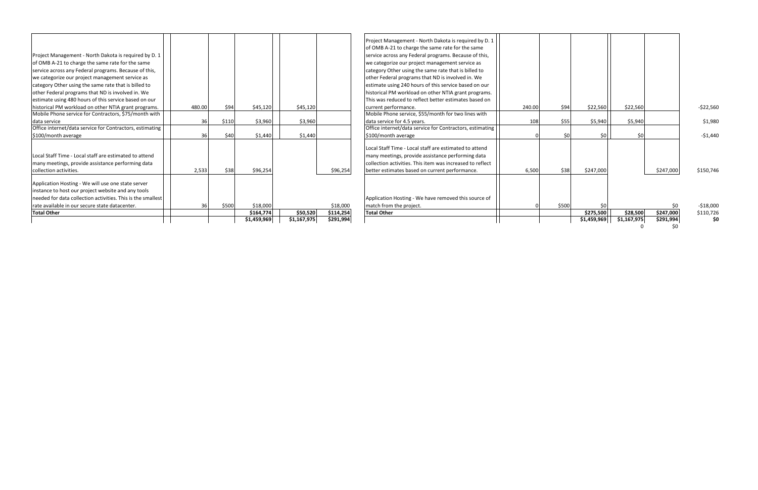|                                                                                                             |        |       | \$1,459,969 | \$1,167,975 | \$291,994 |                                                                                                                |        |       | \$1,459,969 | \$1,167,975 | \$291,994 |            |
|-------------------------------------------------------------------------------------------------------------|--------|-------|-------------|-------------|-----------|----------------------------------------------------------------------------------------------------------------|--------|-------|-------------|-------------|-----------|------------|
| <b>Total Other</b>                                                                                          |        |       | \$164,774   | \$50,520    | \$114,254 | <b>Total Other</b>                                                                                             |        |       | \$275,500   | \$28,500    | \$247,000 | \$110,726  |
| rate available in our secure state datacenter.                                                              | 36     | \$500 | \$18,000    |             | \$18,000  | match from the project.                                                                                        |        | \$500 | ŚC          |             | \$0       | $-518,000$ |
| needed for data collection activities. This is the smallest                                                 |        |       |             |             |           | Application Hosting - We have removed this source of                                                           |        |       |             |             |           |            |
| instance to host our project website and any tools                                                          |        |       |             |             |           |                                                                                                                |        |       |             |             |           |            |
| Application Hosting - We will use one state server                                                          |        |       |             |             |           |                                                                                                                |        |       |             |             |           |            |
| collection activities.                                                                                      | 2,533  | \$38  | \$96,254    |             | \$96,254  | better estimates based on current performance.                                                                 | 6,500  | \$38  | \$247,000   |             | \$247,000 | \$150,746  |
| Local Staff Time - Local staff are estimated to attend<br>many meetings, provide assistance performing data |        |       |             |             |           | many meetings, provide assistance performing data<br>collection activities. This item was increased to reflect |        |       |             |             |           |            |
|                                                                                                             |        |       |             |             |           | Local Staff Time - Local staff are estimated to attend                                                         |        |       |             |             |           |            |
| \$100/month average                                                                                         | 36     | \$40  | \$1,440     | \$1,440     |           | \$100/month average                                                                                            |        | \$0   | \$0         | \$0         |           | $-51,440$  |
| Office internet/data service for Contractors, estimating                                                    |        |       |             |             |           | Office internet/data service for Contractors, estimating                                                       |        |       |             |             |           |            |
| data service                                                                                                | 36     | \$110 | \$3,960     | \$3,960     |           | data service for 4.5 years.                                                                                    | 108    | \$55  | \$5,940     | \$5,940     |           | \$1,980    |
| Mobile Phone service for Contractors, \$75/month with                                                       |        |       |             |             |           | Mobile Phone service, \$55/month for two lines with                                                            |        |       |             |             |           |            |
| historical PM workload on other NTIA grant programs.                                                        | 480.00 | \$94  | \$45,120    | \$45,120    |           | current performance.                                                                                           | 240.00 | \$94  | \$22,560    | \$22,560    |           | $-522,560$ |
| estimate using 480 hours of this service based on our                                                       |        |       |             |             |           | This was reduced to reflect better estimates based on                                                          |        |       |             |             |           |            |
| other Federal programs that ND is involved in. We                                                           |        |       |             |             |           | historical PM workload on other NTIA grant programs.                                                           |        |       |             |             |           |            |
| we categorize our project management service as<br>category Other using the same rate that is billed to     |        |       |             |             |           | other Federal programs that ND is involved in. We<br>estimate using 240 hours of this service based on our     |        |       |             |             |           |            |
| service across any Federal programs. Because of this,                                                       |        |       |             |             |           | category Other using the same rate that is billed to                                                           |        |       |             |             |           |            |
| of OMB A-21 to charge the same rate for the same                                                            |        |       |             |             |           | we categorize our project management service as                                                                |        |       |             |             |           |            |
| Project Management - North Dakota is required by D. 1                                                       |        |       |             |             |           | service across any Federal programs. Because of this,                                                          |        |       |             |             |           |            |
|                                                                                                             |        |       |             |             |           | of OMB A-21 to charge the same rate for the same                                                               |        |       |             |             |           |            |
|                                                                                                             |        |       |             |             |           | Project Management - North Dakota is required by D. 1                                                          |        |       |             |             |           |            |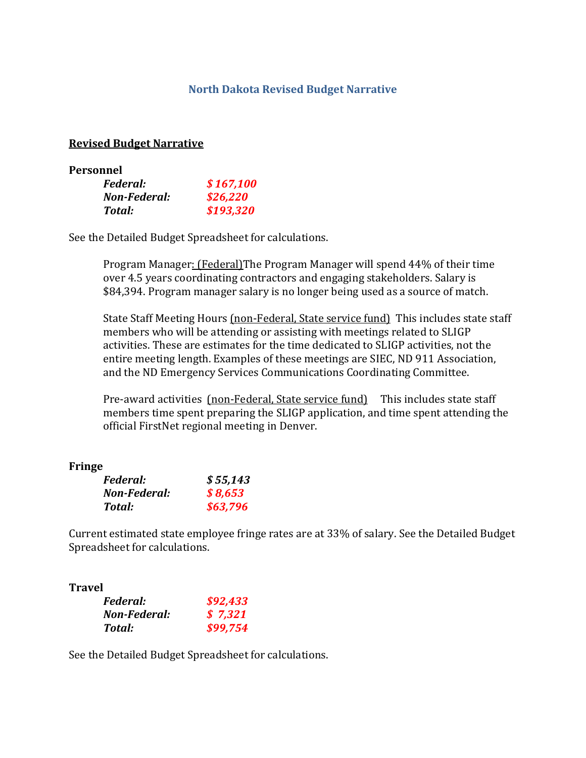## **North Dakota Revised Budget Narrative**

### **Revised Budget Narrative**

| Personnel    |           |
|--------------|-----------|
| Federal:     | \$167,100 |
| Non-Federal: | \$26,220  |
| Total:       | \$193,320 |

See the Detailed Budget Spreadsheet for calculations.

Program Manager: (Federal)The Program Manager will spend 44% of their time over 4.5 years coordinating contractors and engaging stakeholders. Salary is \$84,394. Program manager salary is no longer being used as a source of match.

State Staff Meeting Hours (non-Federal, State service fund) This includes state staff members who will be attending or assisting with meetings related to SLIGP activities. These are estimates for the time dedicated to SLIGP activities, not the entire meeting length. Examples of these meetings are SIEC, ND 911 Association, and the ND Emergency Services Communications Coordinating Committee.

Pre-award activities (non-Federal, State service fund) This includes state staff members time spent preparing the SLIGP application, and time spent attending the official FirstNet regional meeting in Denver.

#### **Fringe**

| <i>Federal:</i> | \$55,143 |
|-----------------|----------|
| Non-Federal:    | \$8,653  |
| Total:          | \$63,796 |

Current estimated state employee fringe rates are at 33% of salary. See the Detailed Budget Spreadsheet for calculations.

## **Travel**

| <i>Federal:</i> | \$92,433 |
|-----------------|----------|
| Non-Federal:    | \$7,321  |
| Total:          | \$99,754 |

See the Detailed Budget Spreadsheet for calculations.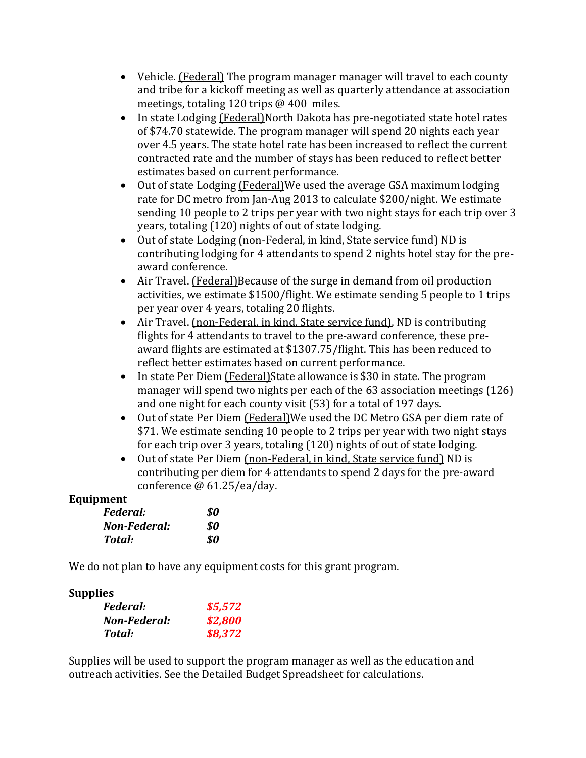- Vehicle. (Federal) The program manager manager will travel to each county and tribe for a kickoff meeting as well as quarterly attendance at association meetings, totaling 120 trips @ 400 miles.
- In state Lodging (Federal)North Dakota has pre-negotiated state hotel rates of \$74.70 statewide. The program manager will spend 20 nights each year over 4.5 years. The state hotel rate has been increased to reflect the current contracted rate and the number of stays has been reduced to reflect better estimates based on current performance.
- Out of state Lodging (Federal)We used the average GSA maximum lodging rate for DC metro from Jan-Aug 2013 to calculate \$200/night. We estimate sending 10 people to 2 trips per year with two night stays for each trip over 3 years, totaling (120) nights of out of state lodging.
- Out of state Lodging (non-Federal, in kind, State service fund) ND is contributing lodging for 4 attendants to spend 2 nights hotel stay for the preaward conference.
- Air Travel. (Federal)Because of the surge in demand from oil production activities, we estimate \$1500/flight. We estimate sending 5 people to 1 trips per year over 4 years, totaling 20 flights.
- Air Travel. (non-Federal, in kind, State service fund), ND is contributing flights for 4 attendants to travel to the pre-award conference, these preaward flights are estimated at \$1307.75/flight. This has been reduced to reflect better estimates based on current performance.
- In state Per Diem (Federal) State allowance is \$30 in state. The program manager will spend two nights per each of the 63 association meetings (126) and one night for each county visit (53) for a total of 197 days.
- Out of state Per Diem (Federal)We used the DC Metro GSA per diem rate of \$71. We estimate sending 10 people to 2 trips per year with two night stays for each trip over 3 years, totaling (120) nights of out of state lodging.
- Out of state Per Diem (non-Federal, in kind, State service fund) ND is contributing per diem for 4 attendants to spend 2 days for the pre-award conference @ 61.25/ea/day.

# **Equipment**

| Federal:     | \$0 |
|--------------|-----|
| Non-Federal: | \$0 |
| Total:       | \$0 |

We do not plan to have any equipment costs for this grant program.

# **Supplies**

| <i>Federal:</i> | \$5,572 |
|-----------------|---------|
| Non-Federal:    | \$2,800 |
| Total:          | \$8,372 |

Supplies will be used to support the program manager as well as the education and outreach activities. See the Detailed Budget Spreadsheet for calculations.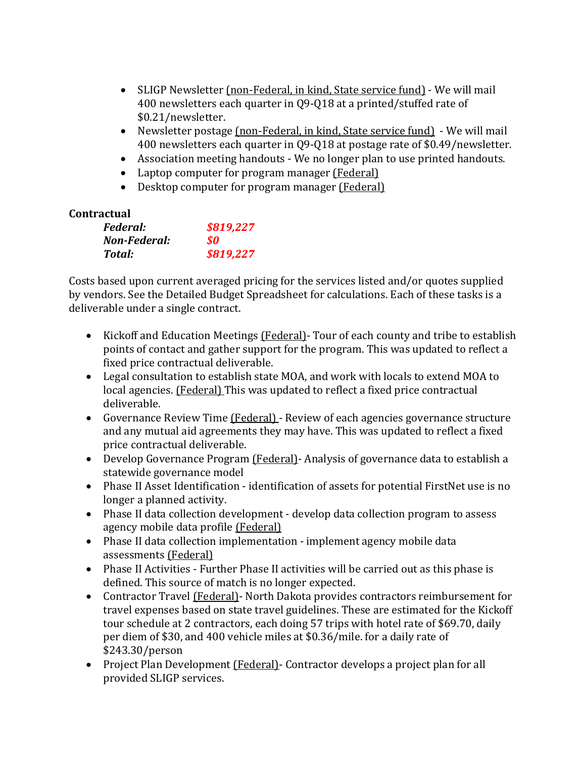- SLIGP Newsletter (non-Federal, in kind, State service fund) We will mail 400 newsletters each quarter in Q9-Q18 at a printed/stuffed rate of \$0.21/newsletter.
- Newsletter postage (non-Federal, in kind, State service fund) We will mail 400 newsletters each quarter in Q9-Q18 at postage rate of \$0.49/newsletter.
- Association meeting handouts We no longer plan to use printed handouts.
- Laptop computer for program manager (Federal)
- Desktop computer for program manager (Federal)

# **Contractual**

| <i>Federal:</i> | \$819,227 |
|-----------------|-----------|
| Non-Federal:    | SO.       |
| Total:          | \$819,227 |

Costs based upon current averaged pricing for the services listed and/or quotes supplied by vendors. See the Detailed Budget Spreadsheet for calculations. Each of these tasks is a deliverable under a single contract.

- Kickoff and Education Meetings (Federal) Tour of each county and tribe to establish points of contact and gather support for the program. This was updated to reflect a fixed price contractual deliverable.
- Legal consultation to establish state MOA, and work with locals to extend MOA to local agencies. (Federal) This was updated to reflect a fixed price contractual deliverable.
- Governance Review Time (Federal) Review of each agencies governance structure and any mutual aid agreements they may have. This was updated to reflect a fixed price contractual deliverable.
- Develop Governance Program (Federal)- Analysis of governance data to establish a statewide governance model
- Phase II Asset Identification identification of assets for potential FirstNet use is no longer a planned activity.
- Phase II data collection development develop data collection program to assess agency mobile data profile (Federal)
- Phase II data collection implementation implement agency mobile data assessments (Federal)
- Phase II Activities Further Phase II activities will be carried out as this phase is defined. This source of match is no longer expected.
- Contractor Travel (Federal)- North Dakota provides contractors reimbursement for travel expenses based on state travel guidelines. These are estimated for the Kickoff tour schedule at 2 contractors, each doing 57 trips with hotel rate of \$69.70, daily per diem of \$30, and 400 vehicle miles at \$0.36/mile. for a daily rate of \$243.30/person
- Project Plan Development (Federal) Contractor develops a project plan for all provided SLIGP services.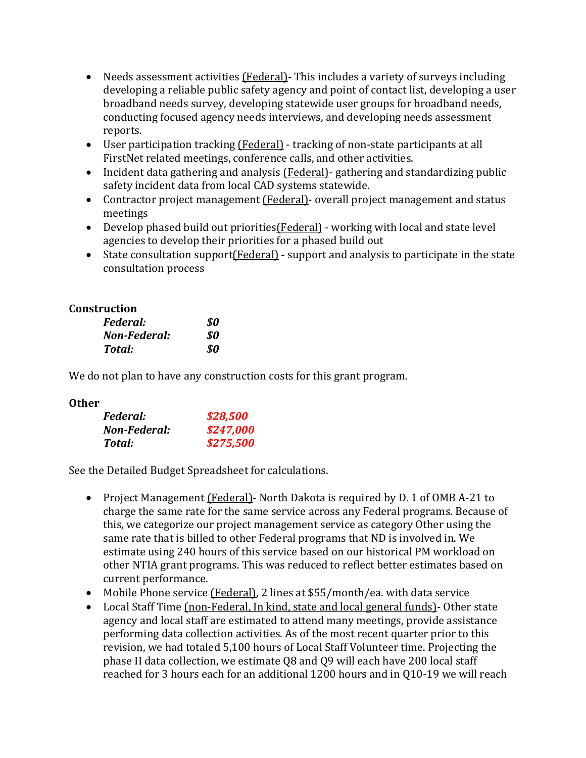- Needs assessment activities (Federal) This includes a variety of surveys including developing a reliable public safety agency and point of contact list, developing a user broadband needs survey, developing statewide user groups for broadband needs, conducting focused agency needs interviews, and developing needs assessment reports.
- User participation tracking (Federal) tracking of non-state participants at all FirstNet related meetings, conference calls, and other activities.
- Incident data gathering and analysis (Federal)- gathering and standardizing public safety incident data from local CAD systems statewide.
- Contractor project management (Federal) overall project management and status meetings
- Develop phased build out priorities(Federal) working with local and state level agencies to develop their priorities for a phased build out
- State consultation support(Federal) support and analysis to participate in the state consultation process

# **Construction**

| Federal:     | \$0 |
|--------------|-----|
| Non-Federal: | SO. |
| Total:       | SO. |

We do not plan to have any construction costs for this grant program.

## **Other**

| <i>Federal:</i> | \$28,500  |
|-----------------|-----------|
| Non-Federal:    | \$247,000 |
| Total:          | \$275,500 |

See the Detailed Budget Spreadsheet for calculations.

- Project Management (Federal) North Dakota is required by D. 1 of OMB A-21 to charge the same rate for the same service across any Federal programs. Because of this, we categorize our project management service as category Other using the same rate that is billed to other Federal programs that ND is involved in. We estimate using 240 hours of this service based on our historical PM workload on other NTIA grant programs. This was reduced to reflect better estimates based on current performance.
- Mobile Phone service (Federal), 2 lines at \$55/month/ea. with data service
- Local Staff Time (non-Federal, In kind, state and local general funds) Other state agency and local staff are estimated to attend many meetings, provide assistance performing data collection activities. As of the most recent quarter prior to this revision, we had totaled 5,100 hours of Local Staff Volunteer time. Projecting the phase II data collection, we estimate Q8 and Q9 will each have 200 local staff reached for 3 hours each for an additional 1200 hours and in Q10-19 we will reach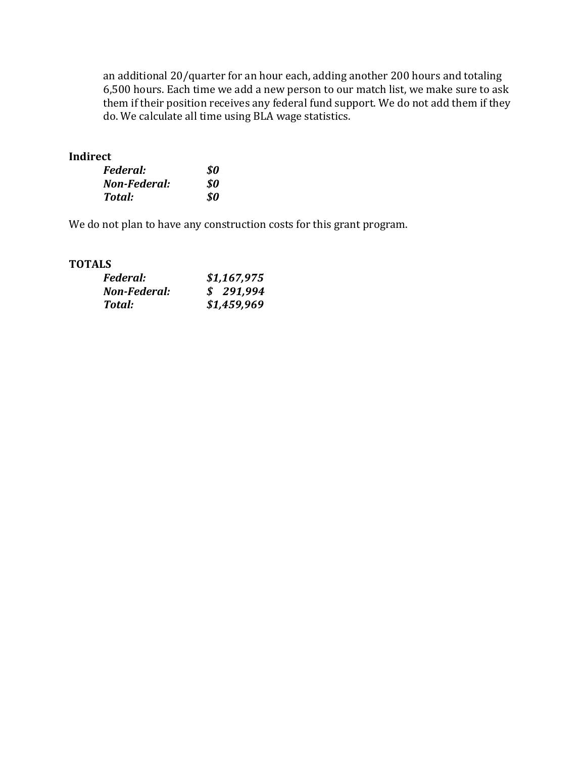an additional 20/quarter for an hour each, adding another 200 hours and totaling 6,500 hours. Each time we add a new person to our match list, we make sure to ask them if their position receives any federal fund support. We do not add them if they do. We calculate all time using BLA wage statistics.

## **Indirect**

| Federal:     | \$0 |
|--------------|-----|
| Non-Federal: | SO. |
| Total:       | SO. |

We do not plan to have any construction costs for this grant program.

## **TOTALS**

| <i>Federal:</i> | \$1,167,975 |
|-----------------|-------------|
| Non-Federal:    | \$291,994   |
| Total:          | \$1,459,969 |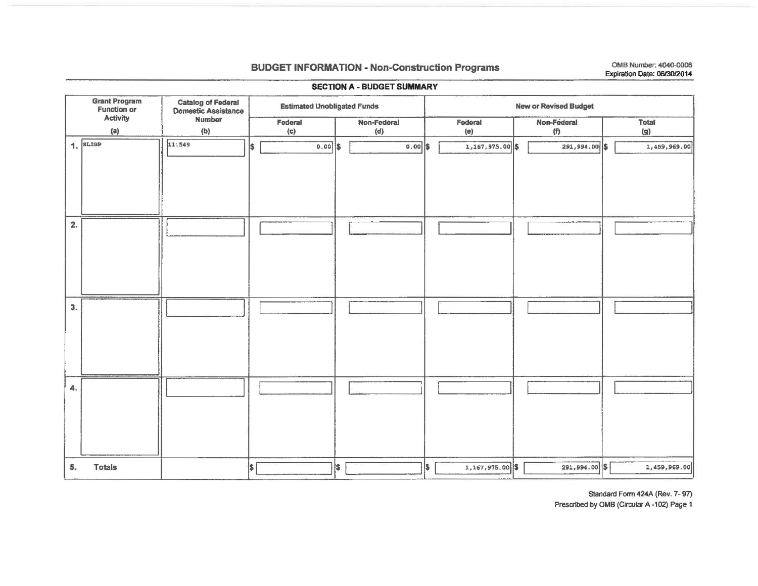## **BUDGET INFORMATION - Non-Construction Programs**

OMB Number: 4040-0006 Expiration Date: 06/30/2014

|    | <b>SECTION A - BUDGET SUMMARY</b>                      |                                                             |     |                                    |                          |                    |                              |                 |  |                    |  |              |  |  |  |  |  |
|----|--------------------------------------------------------|-------------------------------------------------------------|-----|------------------------------------|--------------------------|--------------------|------------------------------|-----------------|--|--------------------|--|--------------|--|--|--|--|--|
|    | <b>Grant Program</b><br><b>Function or</b><br>Activity | <b>Catalog of Federal<br/>Domestic Assistance</b><br>Number |     | <b>Estimated Unobligated Funds</b> |                          |                    | <b>New or Revised Budget</b> |                 |  |                    |  |              |  |  |  |  |  |
|    | (a)                                                    | (b)                                                         |     | Federal<br>(c)                     |                          | Non-Federal<br>(d) |                              | Federal<br>(e)  |  | Non-Federal<br>(n) |  | Total<br>(g) |  |  |  |  |  |
|    | 1.5L                                                   | 11:549                                                      | 1\$ | $0.00$ \$                          |                          | 0.00               | l\$                          | 1,167,975.00 \$ |  | 291,994.00 \$      |  | 1,459,969.00 |  |  |  |  |  |
| 2. |                                                        |                                                             |     |                                    |                          |                    |                              |                 |  |                    |  |              |  |  |  |  |  |
| 3. |                                                        |                                                             |     |                                    |                          |                    |                              |                 |  |                    |  |              |  |  |  |  |  |
| 4. |                                                        |                                                             |     |                                    |                          |                    |                              |                 |  |                    |  |              |  |  |  |  |  |
| 5. | <b>Totals</b>                                          |                                                             | \$  |                                    | $\vert \mathsf{s} \vert$ |                    | l\$                          | 1,167,975.00 \$ |  | $291,994.00$ \$    |  | 1,459,969.00 |  |  |  |  |  |

Standard Form 424A (Rev. 7-97)

Prescribed by OMB (Circular A -102) Page 1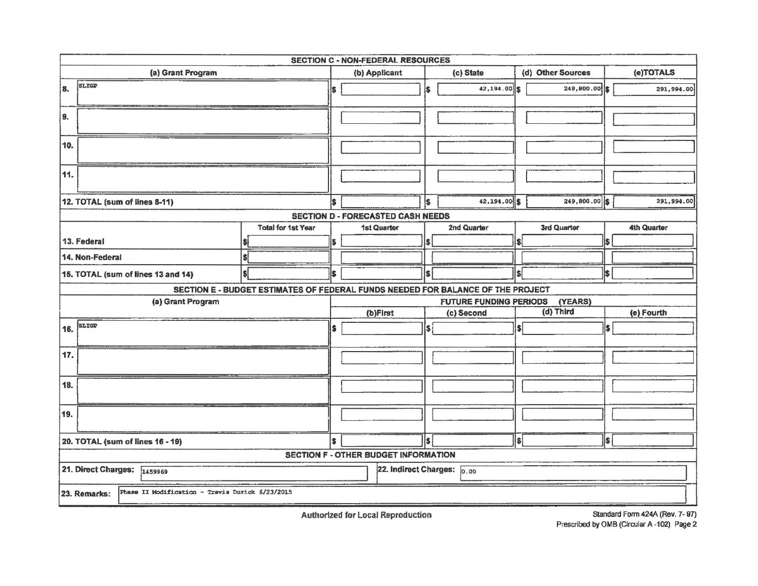| <b>SECTION C - NON-FEDERAL RESOURCES</b>                        |                                                                                 |     |                                             |     |                               |         |                   |     |                    |  |  |  |  |
|-----------------------------------------------------------------|---------------------------------------------------------------------------------|-----|---------------------------------------------|-----|-------------------------------|---------|-------------------|-----|--------------------|--|--|--|--|
| (a) Grant Program                                               |                                                                                 |     | (b) Applicant                               |     | (c) State                     |         | (d) Other Sources |     | (e)TOTALS          |  |  |  |  |
| SLIGP<br>8.                                                     |                                                                                 | I\$ |                                             | S   | 42,194.00 \$                  |         | 249,800.00        |     | 291,994.00         |  |  |  |  |
| 9.                                                              |                                                                                 |     |                                             |     |                               |         |                   |     |                    |  |  |  |  |
| 10.                                                             |                                                                                 |     |                                             |     |                               |         |                   |     |                    |  |  |  |  |
| 11.                                                             |                                                                                 |     |                                             |     |                               |         |                   |     |                    |  |  |  |  |
| 12. TOTAL (sum of lines 8-11)                                   |                                                                                 | Ŝ   |                                             | l\$ | $42,194.00$ \$                |         | 249,800.00 \$     |     | 291,994.00         |  |  |  |  |
|                                                                 |                                                                                 |     | <b>SECTION D - FORECASTED CASH NEEDS</b>    |     |                               |         |                   |     |                    |  |  |  |  |
|                                                                 | <b>Total for 1st Year</b>                                                       |     | 1st Quarter                                 |     | 2nd Quarter                   |         | 3rd Quarter       |     | <b>4th Quarter</b> |  |  |  |  |
| 13. Federal                                                     |                                                                                 | S   |                                             |     |                               |         |                   |     |                    |  |  |  |  |
| 14. Non-Federal                                                 |                                                                                 |     |                                             |     |                               |         |                   |     |                    |  |  |  |  |
| 15. TOTAL (sum of lines 13 and 14)                              |                                                                                 | S   |                                             | \$  |                               | \$      |                   | \$  |                    |  |  |  |  |
|                                                                 | SECTION E - BUDGET ESTIMATES OF FEDERAL FUNDS NEEDED FOR BALANCE OF THE PROJECT |     |                                             |     |                               |         |                   |     |                    |  |  |  |  |
| (a) Grant Program                                               |                                                                                 |     |                                             |     | <b>FUTURE FUNDING PERIODS</b> |         | (YEARS)           |     |                    |  |  |  |  |
|                                                                 |                                                                                 |     | (b)First                                    |     | (c) Second                    |         | (d) Third         |     | (e) Fourth         |  |  |  |  |
| SLIGP<br>16.                                                    |                                                                                 | \$  |                                             | l\$ |                               | $\vert$ |                   | l\$ |                    |  |  |  |  |
| 17.                                                             |                                                                                 |     |                                             |     |                               |         |                   |     |                    |  |  |  |  |
| 18.                                                             |                                                                                 |     |                                             |     |                               |         |                   |     |                    |  |  |  |  |
| 19.                                                             |                                                                                 |     |                                             |     |                               |         |                   |     |                    |  |  |  |  |
| 20. TOTAL (sum of lines 16 - 19)                                |                                                                                 | ls  |                                             | ls. |                               | ls.     |                   | Is. |                    |  |  |  |  |
|                                                                 |                                                                                 |     | <b>SECTION F - OTHER BUDGET INFORMATION</b> |     |                               |         |                   |     |                    |  |  |  |  |
| 21. Direct Charges: 1459969                                     |                                                                                 |     | 22. Indirect Charges: 0.00                  |     |                               |         |                   |     |                    |  |  |  |  |
| Phase II Modification - Travis Durick 6/23/2015<br>23. Remarks: |                                                                                 |     |                                             |     |                               |         |                   |     |                    |  |  |  |  |

**Authorized for Local Reproduction**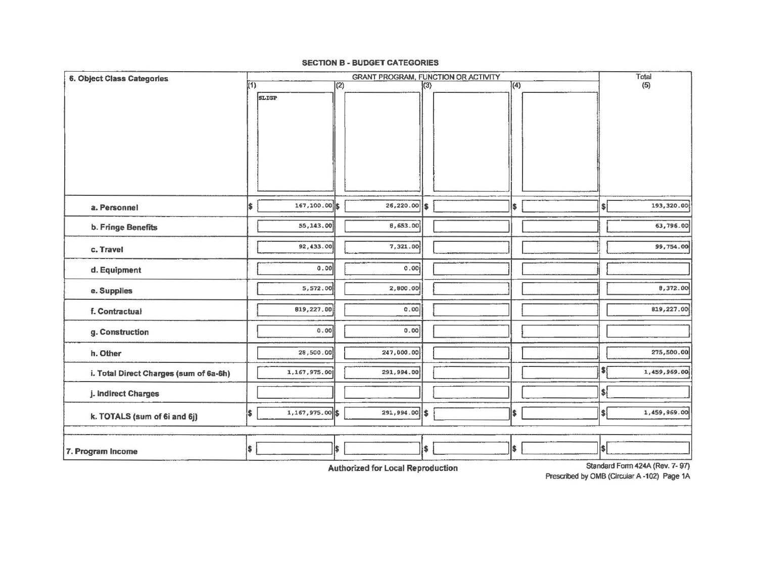#### **SECTION B - BUDGET CATEGORIES**

| <b>6. Object Class Categories</b>      |                          |                 |     | GRANT PROGRAM, FUNCTION OR ACTIVITY |            |    |              |                              | Total        |
|----------------------------------------|--------------------------|-----------------|-----|-------------------------------------|------------|----|--------------|------------------------------|--------------|
|                                        | (1)                      |                 | (2) |                                     | $\sqrt{3}$ |    | $\sqrt{(4)}$ |                              | (5)          |
|                                        |                          | <b>SLIGP</b>    |     |                                     |            |    |              |                              |              |
|                                        |                          |                 |     |                                     |            |    |              |                              |              |
|                                        |                          |                 |     |                                     |            |    |              |                              |              |
|                                        |                          |                 |     |                                     |            |    |              |                              |              |
|                                        |                          |                 |     |                                     |            |    |              |                              |              |
|                                        |                          |                 |     |                                     |            |    |              |                              |              |
|                                        |                          |                 |     |                                     |            |    |              |                              |              |
|                                        |                          |                 |     |                                     |            |    |              |                              |              |
|                                        | I\$                      | 167,100.00 \$   |     | 26,220.00                           | ls.        |    |              |                              | 193,320.00   |
| a. Personnel                           |                          |                 |     |                                     |            | \$ |              | $\vert \$\vert$              |              |
| b. Fringe Benefits                     |                          | 55,143.00       |     | 8,653.00                            |            |    |              |                              | 63,796.00    |
|                                        |                          | 92,433.00       |     | 7,321.00                            |            |    |              |                              | 99,754.00    |
| c. Travel                              |                          |                 |     |                                     |            |    |              |                              |              |
| d. Equipment                           |                          | 0.00            |     | 0.001                               |            |    |              |                              |              |
| e. Supplies                            |                          | 5,572.00        |     | 2,800.00                            |            |    |              |                              | 8,372.00     |
|                                        |                          | 819,227.00      |     | 0.00                                |            |    |              |                              | 819,227.00   |
| f. Contractual                         |                          |                 |     |                                     |            |    |              |                              |              |
| g. Construction                        |                          | 0.00            |     | 0.00                                |            |    |              |                              |              |
|                                        |                          |                 |     |                                     |            |    |              |                              |              |
| h. Other                               |                          | 28,500.00       |     | 247,000.00                          |            |    |              |                              | 275,500.00   |
| i. Total Direct Charges (sum of 6a-6h) |                          | 1,167,975.00    |     | 291,994.00                          |            |    |              | $\bullet$                    | 1,459,969.00 |
| j. Indirect Charges                    |                          |                 |     |                                     |            |    |              | \$                           |              |
| k. TOTALS (sum of 6i and 6j)           | I\$                      | 1,167,975.00 \$ |     | $291,994.00$ \$                     |            | \$ |              | $\left  \frac{1}{2} \right $ | 1,459,969.00 |
|                                        |                          |                 |     |                                     |            |    |              |                              |              |
|                                        | $\vert \mathsf{s} \vert$ |                 | \$  |                                     | \$         | \$ |              | $ \$ $                       |              |
| 7. Program Income                      |                          |                 |     |                                     |            |    |              |                              |              |

**Authorized for Local Reproduction** 

Standard Form 424A (Rev. 7-97) Prescribed by OMB (Circular A -102) Page 1A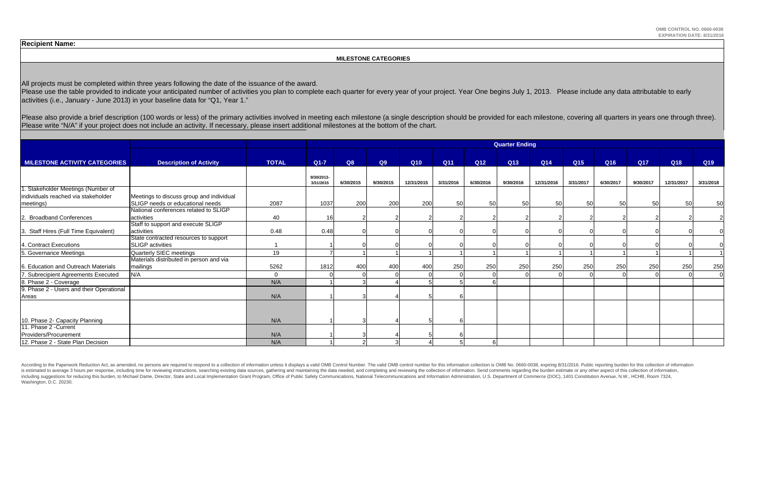Please use the table provided to indicate your anticipated number of activities you plan to complete each quarter for every year of your project. Year One begins July 1, 2013. Please include any data attributable to early activities (i.e., January - June 2013) in your baseline data for "Q1, Year 1."

Please also provide a brief description (100 words or less) of the primary activities involved in meeting each milestone (a single description should be provided for each milestone, covering all quarters in years one throu Please write "N/A" if your project does not include an activity. If necessary, please insert additional milestones at the bottom of the chart.

#### **MILESTONE CATEGORIES**

All projects must be completed within three years following the date of the issuance of the award.

According to the Paperwork Reduction Act, as amended, no persons are required to respond to a collection of information unless it displays a valid OMB Control Number. The valid OMB control number for this information colle is estimated to average 3 hours per response, including time for reviewing instructions, searching existing data sources, gathering and maintaining the data needed, and completing and reviewing the collection of informatio including suggestions for reducing this burden, to Michael Dame, Director, State and Local Implementation Grant Program, Office of Public Safety Communications, National Telecommunications and Information Administration, U Washington, D.C. 20230.

|                                                                           |                                                                  |              | <b>Quarter Ending</b>   |           |           |            |            |           |           |            |           |           |            |            |           |  |
|---------------------------------------------------------------------------|------------------------------------------------------------------|--------------|-------------------------|-----------|-----------|------------|------------|-----------|-----------|------------|-----------|-----------|------------|------------|-----------|--|
| <b>MILESTONE ACTIVITY CATEGORIES</b>                                      | <b>Description of Activity</b>                                   | <b>TOTAL</b> | $Q1-7$                  | Q8        | Q9        | <b>Q10</b> | <b>Q11</b> | Q12       | Q13       | Q14        | Q15       | Q16       | <b>Q17</b> | Q18        | Q19       |  |
|                                                                           |                                                                  |              | 9/30/2013-<br>3/31/2015 | 6/30/2015 | 9/30/2015 | 12/31/2015 | 3/31/2016  | 6/30/2016 | 9/30/2016 | 12/31/2016 | 3/31/2017 | 6/30/2017 | 9/30/2017  | 12/31/2017 | 3/31/2018 |  |
| 1. Stakeholder Meetings (Number of<br>individuals reached via stakeholder | Meetings to discuss group and individual                         |              |                         |           |           |            |            |           |           |            |           |           |            |            |           |  |
| meetings)                                                                 | SLIGP needs or educational needs                                 | 2087         | 1037                    | 200       | 200       | 200        | 50         | 50        | 50        | 50         | 50        | 50        | 50         |            | 50        |  |
| 2. Broadband Conferences                                                  | National conferences related to SLIGP<br>activities              | 40           |                         |           |           |            |            |           |           |            |           |           |            |            |           |  |
| 3. Staff Hires (Full Time Equivalent)                                     | Staff to support and execute SLIGP<br>activities                 | 0.48         | 0.48                    |           |           |            |            |           |           |            |           |           |            |            |           |  |
| 4. Contract Executions                                                    | State contracted resources to support<br><b>SLIGP</b> activities |              |                         |           |           |            |            |           |           |            |           |           |            |            |           |  |
| 5. Governance Meetings                                                    | Quarterly SIEC meetings                                          | 19           |                         |           |           |            |            |           |           |            |           |           |            |            |           |  |
| 6. Education and Outreach Materials                                       | Materials distributed in person and via<br>mailings              | 5262         | 1812                    | 400       | 400       | 400        | 250        | 250       | 250       | 250        | 250       | 250       | 250        | 250        | 250       |  |
| 7. Subrecipient Agreements Executed                                       | N/A                                                              | $\Omega$     |                         |           |           |            |            |           |           |            |           |           |            |            | $\Omega$  |  |
| 8. Phase 2 - Coverage                                                     |                                                                  | N/A          |                         |           |           |            |            |           |           |            |           |           |            |            |           |  |
| 9. Phase 2 - Users and their Operational<br>Areas                         |                                                                  | N/A          |                         |           |           |            |            |           |           |            |           |           |            |            |           |  |
|                                                                           |                                                                  |              |                         |           |           |            |            |           |           |            |           |           |            |            |           |  |
| 10. Phase 2- Capacity Planning                                            |                                                                  | N/A          |                         |           |           |            |            |           |           |            |           |           |            |            |           |  |
| 11. Phase 2 - Current                                                     |                                                                  |              |                         |           |           |            |            |           |           |            |           |           |            |            |           |  |
| Providers/Procurement                                                     |                                                                  | N/A          |                         |           |           |            |            |           |           |            |           |           |            |            |           |  |
| 12. Phase 2 - State Plan Decision                                         |                                                                  | N/A          |                         |           |           |            |            |           |           |            |           |           |            |            |           |  |

**Recipient Name:**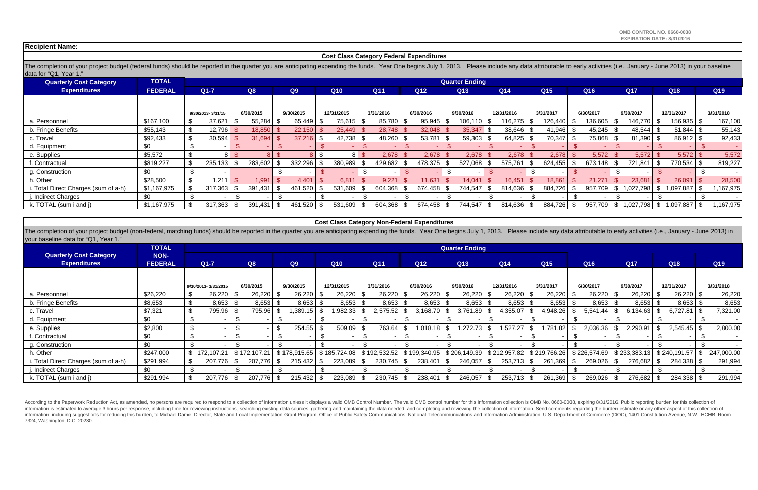The completion of your project budget (non-federal, matching funds) should be reported in the quarter you are anticipating expending the funds. Year One begins July 1, 2013. Please include any data attributable to early ac your baseline data for "Q1, Year 1."

According to the Paperwork Reduction Act, as amended, no persons are required to respond to a collection of information unless it displays a valid OMB Control Number. The valid OMB control number for this information colle information is estimated to average 3 hours per response, including time for reviewing instructions, searching existing data sources, gathering and maintaining the data needed, and completing and reviewing the collection o information, including suggestions for reducing this burden, to Michael Dame, Director, State and Local Implementation Grant Program, Office of Public Safety Communications, National Telecommunications and Information Admi 7324, Washington, D.C. 20230.

The completion of your project budget (federal funds) should be reported in the quarter you are anticipating expending the funds. Year One begins July 1, 2013. Please include any data attributable to early activities (i.e. data for "Q1, Year 1."

| <b>Quarterly Cost Category</b>       | <b>TOTAL</b>   |                   |           |           |              |             |           | <b>Quarter Ending</b> |                      |           |           |           |                |           |
|--------------------------------------|----------------|-------------------|-----------|-----------|--------------|-------------|-----------|-----------------------|----------------------|-----------|-----------|-----------|----------------|-----------|
| <b>Expenditures</b>                  | <b>FEDERAL</b> | $Q1 - 7$          | <b>Q8</b> | Q9        | Q10          | Q11         | Q12       | Q13                   | Q <sub>14</sub>      | Q15       | Q16       | Q17       | Q18            | Q19       |
|                                      |                |                   |           |           |              |             |           |                       |                      |           |           |           |                |           |
|                                      |                | 9/30/2013-3/31/15 | 6/30/2015 | 9/30/2015 | 12/31/2015   | 3/31/2016   | 6/30/2016 | 9/30/2016             | 12/31/2016           | 3/31/2017 | 6/30/2017 | 9/30/2017 | 12/31/2017     | 3/31/2018 |
| a. Personnnel                        | \$167,100      | 37,621            | 55,284    | 65,449    | 75,615   \$  | 85,780      | 95,945    | $106, 110$ \$         | 116,275              | 26,440    | 136,605   | 146,770   | 156,935   \$   | 167,100   |
| b. Fringe Benefits                   | \$55,143       | 12,796            | 18,850    | 22,150    | 25,449       | 28,748      | 32,048    | 35,347                | $38,646$ \$          | 41,946    | 45,245    | 48,544    | $51,844$ \$    | 55,143    |
| c. Travel                            | \$92,433       | 30,594            | 31,694    | 37,216    | $42,738$ \$  | $48,260$ \$ | 53,781    | $59,303$ \$           | 64,825 $\frac{1}{3}$ | 70,347    | 75,868 \$ | 81,390    | $86,912$ \$    | 92,433    |
| d. Equipment                         | \$0            |                   |           |           |              |             |           |                       |                      |           |           |           |                |           |
| e. Supplies                          | \$5,572        |                   |           |           | 8 I S        | 2,678       | 2,678     | 2,678                 | 2,678                | 2,678     | 5,572     | 5,572     | 5,572          | 5,572     |
| f. Contractual                       | \$819,227      | 235,133           | 283,602   | 332,296   | 380,989 \$   | 429,682     | 478,375   | 527,068               | 575,761              | 624,455   | 673,148   | 721,841   | 770,534 \$     | 819,227   |
| g. Construction                      | \$0            |                   |           |           |              |             |           |                       |                      |           |           |           |                |           |
| h. Other                             | \$28,500       | 1,211             | 1,991     | 4,401     | 6,81         | 9,221       | 11,631    | 14,041                | 16,451               | 18,861    | 21,271    | 23,681    | 26,091         | 28,500    |
| i. Total Direct Charges (sum of a-h) | \$1,167,975    | 317,363           | 391,431   | 461,520   | 531,609 \$   | 604,368     | 674,458   | 744,547               | 814,636              | 884,726   | 957,709   | 1,027,798 | $,097,887$ \$  | 1,167,975 |
| j. Indirect Charges                  | \$0            |                   |           |           |              |             |           |                       |                      |           |           |           |                |           |
| k. TOTAL (sum i and j)               | \$1,167,975    | 317,363           | 391,431   | 461,520   | $531,609$ \$ | 604,368     | 674,458   | 744,547               | 814,636 \$           | 884,726   | 957,709   | 1,027,798 | 1,097,887   \$ | 1,167,975 |

|                                                       | <b>TOTAL</b>                  |                     |                  |              |                    |               |                 | <b>Quarter Ending</b> |                                                                                         |           |                  |              |                    |            |
|-------------------------------------------------------|-------------------------------|---------------------|------------------|--------------|--------------------|---------------|-----------------|-----------------------|-----------------------------------------------------------------------------------------|-----------|------------------|--------------|--------------------|------------|
| <b>Quarterly Cost Category</b><br><b>Expenditures</b> | <b>NON-</b><br><b>FEDERAL</b> | $Q1-7$              | Q8               | Q9           | Q10                | Q11           | Q12             | Q13                   | Q14                                                                                     | Q15       | Q16              | Q17          | Q18                | Q19        |
|                                                       |                               |                     |                  |              |                    |               |                 |                       |                                                                                         |           |                  |              |                    |            |
|                                                       |                               | 9/30/2013-3/31/2015 | 6/30/2015        | 9/30/2015    | 12/31/2015         | 3/31/2016     | 6/30/2016       | 9/30/2016             | 12/31/2016                                                                              | 3/31/2017 | 6/30/2017        | 9/30/2017    | 12/31/2017         | 3/31/2018  |
| a. Personnnel                                         | \$26,220                      | 26,220<br>æ.        | $26,220$ \$      | $26,220$ \$  | $26,220$ \$        | $26,220$ \$   | 26,220          | $26,220$ \$           | $26,220$ \$                                                                             | 26,220    | 26,220<br>্ঠ     | 26,220       | $26,220$ \$        | 26,220     |
| b. Fringe Benefits                                    | \$8,653                       | 8,653               | $8,653$ \$<br>.১ | 8,653        | $8,653$ \$<br>- \$ | 8,653         | 8,653           | $8,653$ \$            | $8,653$ \$                                                                              | 8,653     | 8,653<br>- 35    | 8,653        | $8,653$ \$         | 8,653      |
| c. Travel                                             | \$7,321                       | 795.96<br>\$.       | 795.96           | ,389.15      | ,982.33            | 2,575.52<br>ಾ | 3,168.70        | 3,761.89              | 4,355.07                                                                                | 4,948.26  | \$<br>5,541.44   | 6,134.63     | $6,727.81$ \ \$    | 7,321.00   |
| d. Equipment                                          | \$0                           |                     |                  |              |                    |               |                 |                       |                                                                                         |           |                  |              |                    |            |
| e. Supplies                                           | \$2,800                       |                     |                  | 254.55       | $509.09$ \$        | 763.64        | 1,018.18        | 1,272.73              | 1,527.27<br>. უ                                                                         | ,781.82   | 2,036.36<br>- 35 | 2,290.91     | $2,545.45$ \$      | 2,800.00   |
| . Contractual                                         | \$0                           | -\$                 | . እ              |              |                    |               |                 |                       |                                                                                         |           |                  |              |                    |            |
| g. Construction                                       | \$0                           |                     |                  |              |                    |               |                 |                       |                                                                                         |           |                  |              |                    |            |
| h. Other                                              | \$247,000                     | \$172,107.21        | \$172,107.21     | \$178,915.65 |                    |               |                 |                       | \$185,724.08   \$192,532.52   \$199,340.95   \$206,149.39   \$212,957.82   \$219,766.26 |           | \$226,574.69     | \$233,383.13 | $$240,191.57$ \ \$ | 247,000.00 |
| . Total Direct Charges (sum of a-h)                   | \$291,994                     | 207,776             | 207,776          | 215,432      | $223,089$ \$       | 230,745       | 238,401<br>- 35 | 246,057               | $253,713$ \$                                                                            | 261,369   | 269,026<br>- \$  | 276,682      | 284,338 \$         | 291,994    |
| j. Indirect Charges                                   | \$0                           |                     |                  |              |                    |               |                 |                       |                                                                                         |           |                  |              |                    |            |
| k. TOTAL (sum i and j)                                | \$291,994                     | 207,776             | 207,776          | 215,432      | $223,089$ \$       | 230,745       | 238,401         | 246,057               | $253,713$ \$                                                                            | 261,369   | 269,026          | 276,682      | 284,338 \$         | 291,994    |

**Recipient Name:** 

#### **Cost Class Category Federal Expenditures**

### **Cost Class Category Non-Federal Expenditures**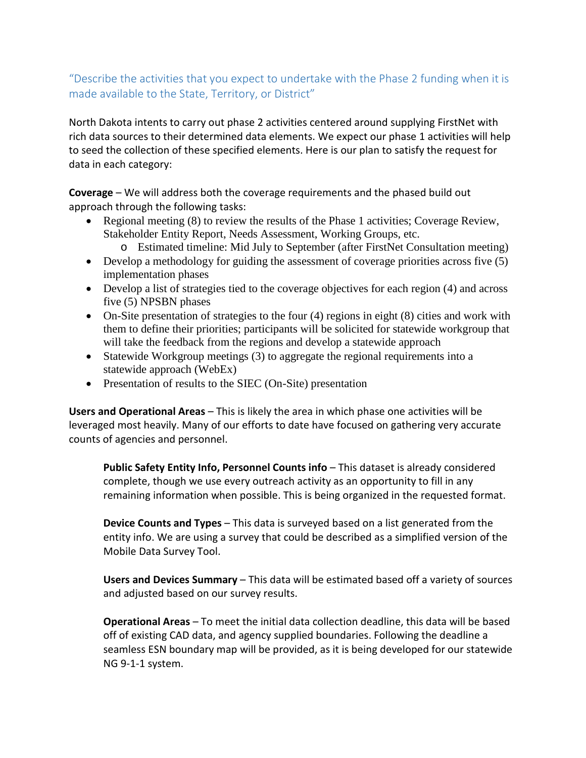# "Describe the activities that you expect to undertake with the Phase 2 funding when it is made available to the State, Territory, or District"

North Dakota intents to carry out phase 2 activities centered around supplying FirstNet with rich data sources to their determined data elements. We expect our phase 1 activities will help to seed the collection of these specified elements. Here is our plan to satisfy the request for data in each category:

**Coverage** – We will address both the coverage requirements and the phased build out approach through the following tasks:

- Regional meeting (8) to review the results of the Phase 1 activities; Coverage Review, Stakeholder Entity Report, Needs Assessment, Working Groups, etc.
	- o Estimated timeline: Mid July to September (after FirstNet Consultation meeting)
- Develop a methodology for guiding the assessment of coverage priorities across five (5) implementation phases
- Develop a list of strategies tied to the coverage objectives for each region (4) and across five (5) NPSBN phases
- On-Site presentation of strategies to the four (4) regions in eight (8) cities and work with them to define their priorities; participants will be solicited for statewide workgroup that will take the feedback from the regions and develop a statewide approach
- Statewide Workgroup meetings (3) to aggregate the regional requirements into a statewide approach (WebEx)
- Presentation of results to the SIEC (On-Site) presentation

**Users and Operational Areas** – This is likely the area in which phase one activities will be leveraged most heavily. Many of our efforts to date have focused on gathering very accurate counts of agencies and personnel.

**Public Safety Entity Info, Personnel Counts info** – This dataset is already considered complete, though we use every outreach activity as an opportunity to fill in any remaining information when possible. This is being organized in the requested format.

**Device Counts and Types** – This data is surveyed based on a list generated from the entity info. We are using a survey that could be described as a simplified version of the Mobile Data Survey Tool.

**Users and Devices Summary** – This data will be estimated based off a variety of sources and adjusted based on our survey results.

**Operational Areas** – To meet the initial data collection deadline, this data will be based off of existing CAD data, and agency supplied boundaries. Following the deadline a seamless ESN boundary map will be provided, as it is being developed for our statewide NG 9-1-1 system.